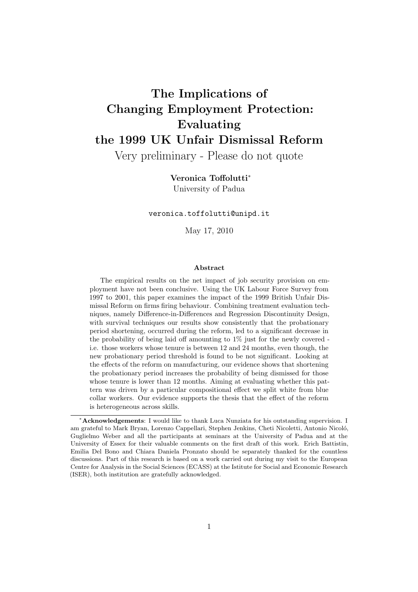# The Implications of Changing Employment Protection: Evaluating the 1999 UK Unfair Dismissal Reform

Very preliminary - Please do not quote

## Veronica Toffolutti<sup>∗</sup>

University of Padua

veronica.toffolutti@unipd.it

May 17, 2010

#### Abstract

The empirical results on the net impact of job security provision on employment have not been conclusive. Using the UK Labour Force Survey from 1997 to 2001, this paper examines the impact of the 1999 British Unfair Dismissal Reform on firms firing behaviour. Combining treatment evaluation techniques, namely Difference-in-Differences and Regression Discontinuity Design, with survival techniques our results show consistently that the probationary period shortening, occurred during the reform, led to a significant decrease in the probability of being laid off amounting to  $1\%$  just for the newly covered i.e. those workers whose tenure is between 12 and 24 months, even though, the new probationary period threshold is found to be not significant. Looking at the effects of the reform on manufacturing, our evidence shows that shortening the probationary period increases the probability of being dismissed for those whose tenure is lower than 12 months. Aiming at evaluating whether this pattern was driven by a particular compositional effect we split white from blue collar workers. Our evidence supports the thesis that the effect of the reform is heterogeneous across skills.

<sup>∗</sup>Acknowledgements: I would like to thank Luca Nunziata for his outstanding supervision. I am grateful to Mark Bryan, Lorenzo Cappellari, Stephen Jenkins, Cheti Nicoletti, Antonio Nicoló, Guglielmo Weber and all the participants at seminars at the University of Padua and at the University of Essex for their valuable comments on the first draft of this work. Erich Battistin, Emilia Del Bono and Chiara Daniela Pronzato should be separately thanked for the countless discussions. Part of this research is based on a work carried out during my visit to the European Centre for Analysis in the Social Sciences (ECASS) at the Istitute for Social and Economic Research (ISER), both institution are gratefully acknowledged.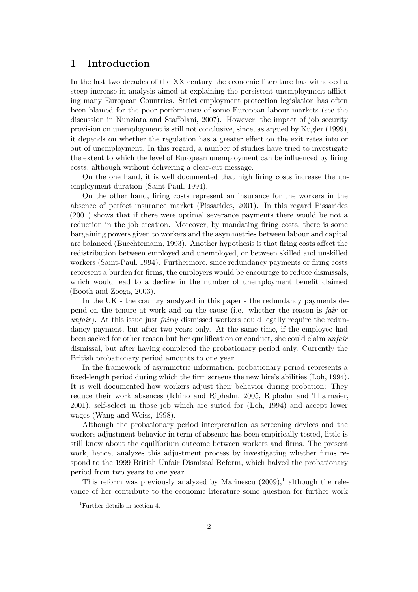## 1 Introduction

In the last two decades of the XX century the economic literature has witnessed a steep increase in analysis aimed at explaining the persistent unemployment afflicting many European Countries. Strict employment protection legislation has often been blamed for the poor performance of some European labour markets (see the discussion in Nunziata and Staffolani, 2007). However, the impact of job security provision on unemployment is still not conclusive, since, as argued by Kugler (1999), it depends on whether the regulation has a greater effect on the exit rates into or out of unemployment. In this regard, a number of studies have tried to investigate the extent to which the level of European unemployment can be influenced by firing costs, although without delivering a clear-cut message.

On the one hand, it is well documented that high firing costs increase the unemployment duration (Saint-Paul, 1994).

On the other hand, firing costs represent an insurance for the workers in the absence of perfect insurance market (Pissarides, 2001). In this regard Pissarides (2001) shows that if there were optimal severance payments there would be not a reduction in the job creation. Moreover, by mandating firing costs, there is some bargaining powers given to workers and the asymmetries between labour and capital are balanced (Buechtemann, 1993). Another hypothesis is that firing costs affect the redistribution between employed and unemployed, or between skilled and unskilled workers (Saint-Paul, 1994). Furthermore, since redundancy payments or firing costs represent a burden for firms, the employers would be encourage to reduce dismissals, which would lead to a decline in the number of unemployment benefit claimed (Booth and Zoega, 2003).

In the UK - the country analyzed in this paper - the redundancy payments depend on the tenure at work and on the cause (i.e. whether the reason is fair or unfair). At this issue just fairly dismissed workers could legally require the redundancy payment, but after two years only. At the same time, if the employee had been sacked for other reason but her qualification or conduct, she could claim unfair dismissal, but after having completed the probationary period only. Currently the British probationary period amounts to one year.

In the framework of asymmetric information, probationary period represents a fixed-length period during which the firm screens the new hire's abilities (Loh, 1994). It is well documented how workers adjust their behavior during probation: They reduce their work absences (Ichino and Riphahn, 2005, Riphahn and Thalmaier, 2001), self-select in those job which are suited for (Loh, 1994) and accept lower wages (Wang and Weiss, 1998).

Although the probationary period interpretation as screening devices and the workers adjustment behavior in term of absence has been empirically tested, little is still know about the equilibrium outcome between workers and firms. The present work, hence, analyzes this adjustment process by investigating whether firms respond to the 1999 British Unfair Dismissal Reform, which halved the probationary period from two years to one year.

This reform was previously analyzed by Marinescu  $(2009)$ ,<sup>1</sup> although the relevance of her contribute to the economic literature some question for further work

<sup>1</sup>Further details in section 4.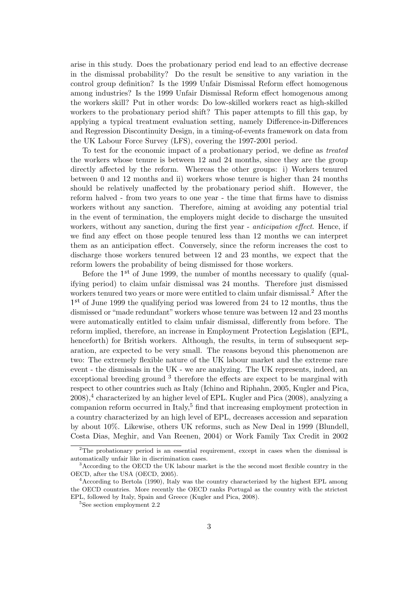arise in this study. Does the probationary period end lead to an effective decrease in the dismissal probability? Do the result be sensitive to any variation in the control group definition? Is the 1999 Unfair Dismissal Reform effect homogenous among industries? Is the 1999 Unfair Dismissal Reform effect homogenous among the workers skill? Put in other words: Do low-skilled workers react as high-skilled workers to the probationary period shift? This paper attempts to fill this gap, by applying a typical treatment evaluation setting, namely Difference-in-Differences and Regression Discontinuity Design, in a timing-of-events framework on data from the UK Labour Force Survey (LFS), covering the 1997-2001 period.

To test for the economic impact of a probationary period, we define as treated the workers whose tenure is between 12 and 24 months, since they are the group directly affected by the reform. Whereas the other groups: i) Workers tenured between 0 and 12 months and ii) workers whose tenure is higher than 24 months should be relatively unaffected by the probationary period shift. However, the reform halved - from two years to one year - the time that firms have to dismiss workers without any sanction. Therefore, aiming at avoiding any potential trial in the event of termination, the employers might decide to discharge the unsuited workers, without any sanction, during the first year - *anticipation effect*. Hence, if we find any effect on those people tenured less than 12 months we can interpret them as an anticipation effect. Conversely, since the reform increases the cost to discharge those workers tenured between 12 and 23 months, we expect that the reform lowers the probability of being dismissed for those workers.

Before the 1<sup>st</sup> of June 1999, the number of months necessary to qualify (qualifying period) to claim unfair dismissal was 24 months. Therefore just dismissed workers tenured two years or more were entitled to claim unfair dismissal.<sup>2</sup> After the 1<sup>st</sup> of June 1999 the qualifying period was lowered from 24 to 12 months, thus the dismissed or "made redundant" workers whose tenure was between 12 and 23 months were automatically entitled to claim unfair dismissal, differently from before. The reform implied, therefore, an increase in Employment Protection Legislation (EPL, henceforth) for British workers. Although, the results, in term of subsequent separation, are expected to be very small. The reasons beyond this phenomenon are two: The extremely flexible nature of the UK labour market and the extreme rare event - the dismissals in the UK - we are analyzing. The UK represents, indeed, an exceptional breeding ground <sup>3</sup> therefore the effects are expect to be marginal with respect to other countries such as Italy (Ichino and Riphahn, 2005, Kugler and Pica, 2008),<sup>4</sup> characterized by an higher level of EPL. Kugler and Pica (2008), analyzing a companion reform occurred in Italy, $5$  find that increasing employment protection in a country characterized by an high level of EPL, decreases accession and separation by about 10%. Likewise, others UK reforms, such as New Deal in 1999 (Blundell, Costa Dias, Meghir, and Van Reenen, 2004) or Work Family Tax Credit in 2002

<sup>2</sup>The probationary period is an essential requirement, except in cases when the dismissal is automatically unfair like in discrimination cases.

<sup>3</sup>According to the OECD the UK labour market is the the second most flexible country in the OECD, after the USA (OECD, 2005).

<sup>4</sup>According to Bertola (1990), Italy was the country characterized by the highest EPL among the OECD countries. More recently the OECD ranks Portugal as the country with the strictest EPL, followed by Italy, Spain and Greece (Kugler and Pica, 2008).

<sup>5</sup>See section employment 2.2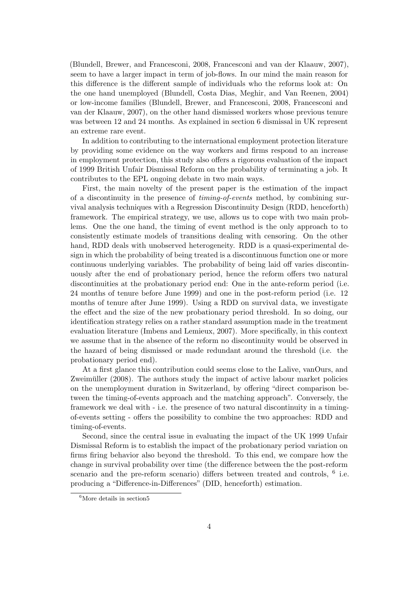(Blundell, Brewer, and Francesconi, 2008, Francesconi and van der Klaauw, 2007), seem to have a larger impact in term of job-flows. In our mind the main reason for this difference is the different sample of individuals who the reforms look at: On the one hand unemployed (Blundell, Costa Dias, Meghir, and Van Reenen, 2004) or low-income families (Blundell, Brewer, and Francesconi, 2008, Francesconi and van der Klaauw, 2007), on the other hand dismissed workers whose previous tenure was between 12 and 24 months. As explained in section 6 dismissal in UK represent an extreme rare event.

In addition to contributing to the international employment protection literature by providing some evidence on the way workers and firms respond to an increase in employment protection, this study also offers a rigorous evaluation of the impact of 1999 British Unfair Dismissal Reform on the probability of terminating a job. It contributes to the EPL ongoing debate in two main ways.

First, the main novelty of the present paper is the estimation of the impact of a discontinuity in the presence of timing-of-events method, by combining survival analysis techniques with a Regression Discontinuity Design (RDD, henceforth) framework. The empirical strategy, we use, allows us to cope with two main problems. One the one hand, the timing of event method is the only approach to to consistently estimate models of transitions dealing with censoring. On the other hand, RDD deals with unobserved heterogeneity. RDD is a quasi-experimental design in which the probability of being treated is a discontinuous function one or more continuous underlying variables. The probability of being laid off varies discontinuously after the end of probationary period, hence the reform offers two natural discontinuities at the probationary period end: One in the ante-reform period (i.e. 24 months of tenure before June 1999) and one in the post-reform period (i.e. 12 months of tenure after June 1999). Using a RDD on survival data, we investigate the effect and the size of the new probationary period threshold. In so doing, our identification strategy relies on a rather standard assumption made in the treatment evaluation literature (Imbens and Lemieux, 2007). More specifically, in this context we assume that in the absence of the reform no discontinuity would be observed in the hazard of being dismissed or made redundant around the threshold (i.e. the probationary period end).

At a first glance this contribution could seems close to the Lalive, vanOurs, and Zweimüller (2008). The authors study the impact of active labour market policies on the unemployment duration in Switzerland, by offering "direct comparison between the timing-of-events approach and the matching approach". Conversely, the framework we deal with - i.e. the presence of two natural discontinuity in a timingof-events setting - offers the possibility to combine the two approaches: RDD and timing-of-events.

Second, since the central issue in evaluating the impact of the UK 1999 Unfair Dismissal Reform is to establish the impact of the probationary period variation on firms firing behavior also beyond the threshold. To this end, we compare how the change in survival probability over time (the difference between the the post-reform scenario and the pre-reform scenario) differs between treated and controls,  $<sup>6</sup>$  i.e.</sup> producing a "Difference-in-Differences" (DID, henceforth) estimation.

 ${}^{6}$ More details in section<sup>5</sup>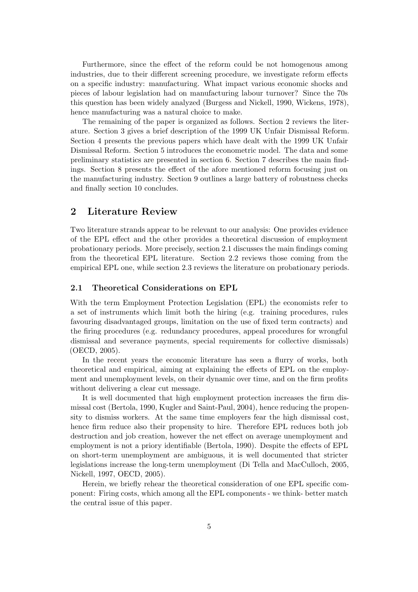Furthermore, since the effect of the reform could be not homogenous among industries, due to their different screening procedure, we investigate reform effects on a specific industry: manufacturing. What impact various economic shocks and pieces of labour legislation had on manufacturing labour turnover? Since the 70s this question has been widely analyzed (Burgess and Nickell, 1990, Wickens, 1978), hence manufacturing was a natural choice to make.

The remaining of the paper is organized as follows. Section 2 reviews the literature. Section 3 gives a brief description of the 1999 UK Unfair Dismissal Reform. Section 4 presents the previous papers which have dealt with the 1999 UK Unfair Dismissal Reform. Section 5 introduces the econometric model. The data and some preliminary statistics are presented in section 6. Section 7 describes the main findings. Section 8 presents the effect of the afore mentioned reform focusing just on the manufacturing industry. Section 9 outlines a large battery of robustness checks and finally section 10 concludes.

## 2 Literature Review

Two literature strands appear to be relevant to our analysis: One provides evidence of the EPL effect and the other provides a theoretical discussion of employment probationary periods. More precisely, section 2.1 discusses the main findings coming from the theoretical EPL literature. Section 2.2 reviews those coming from the empirical EPL one, while section 2.3 reviews the literature on probationary periods.

#### 2.1 Theoretical Considerations on EPL

With the term Employment Protection Legislation (EPL) the economists refer to a set of instruments which limit both the hiring (e.g. training procedures, rules favouring disadvantaged groups, limitation on the use of fixed term contracts) and the firing procedures (e.g. redundancy procedures, appeal procedures for wrongful dismissal and severance payments, special requirements for collective dismissals) (OECD, 2005).

In the recent years the economic literature has seen a flurry of works, both theoretical and empirical, aiming at explaining the effects of EPL on the employment and unemployment levels, on their dynamic over time, and on the firm profits without delivering a clear cut message.

It is well documented that high employment protection increases the firm dismissal cost (Bertola, 1990, Kugler and Saint-Paul, 2004), hence reducing the propensity to dismiss workers. At the same time employers fear the high dismissal cost, hence firm reduce also their propensity to hire. Therefore EPL reduces both job destruction and job creation, however the net effect on average unemployment and employment is not a priory identifiable (Bertola, 1990). Despite the effects of EPL on short-term unemployment are ambiguous, it is well documented that stricter legislations increase the long-term unemployment (Di Tella and MacCulloch, 2005, Nickell, 1997, OECD, 2005).

Herein, we briefly rehear the theoretical consideration of one EPL specific component: Firing costs, which among all the EPL components - we think- better match the central issue of this paper.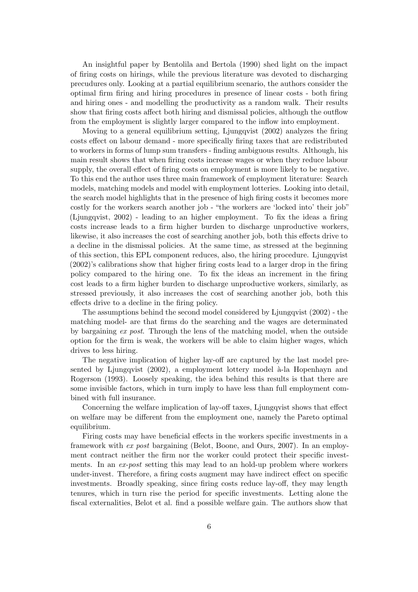An insightful paper by Bentolila and Bertola (1990) shed light on the impact of firing costs on hirings, while the previous literature was devoted to discharging precudures only. Looking at a partial equilibrium scenario, the authors consider the optimal firm firing and hiring procedures in presence of linear costs - both firing and hiring ones - and modelling the productivity as a random walk. Their results show that firing costs affect both hiring and dismissal policies, although the outflow from the employment is slightly larger compared to the inflow into employment.

Moving to a general equilibrium setting, Ljungqvist (2002) analyzes the firing costs effect on labour demand - more specifically firing taxes that are redistributed to workers in forms of lump sum transfers - finding ambiguous results. Although, his main result shows that when firing costs increase wages or when they reduce labour supply, the overall effect of firing costs on employment is more likely to be negative. To this end the author uses three main framework of employment literature: Search models, matching models and model with employment lotteries. Looking into detail, the search model highlights that in the presence of high firing costs it becomes more costly for the workers search another job - "the workers are 'locked into' their job" (Ljungqvist, 2002) - leading to an higher employment. To fix the ideas a firing costs increase leads to a firm higher burden to discharge unproductive workers, likewise, it also increases the cost of searching another job, both this effects drive to a decline in the dismissal policies. At the same time, as stressed at the beginning of this section, this EPL component reduces, also, the hiring procedure. Ljungqvist (2002)'s calibrations show that higher firing costs lead to a larger drop in the firing policy compared to the hiring one. To fix the ideas an increment in the firing cost leads to a firm higher burden to discharge unproductive workers, similarly, as stressed previously, it also increases the cost of searching another job, both this effects drive to a decline in the firing policy.

The assumptions behind the second model considered by Ljungqvist (2002) - the matching model- are that firms do the searching and the wages are determinated by bargaining ex post. Through the lens of the matching model, when the outside option for the firm is weak, the workers will be able to claim higher wages, which drives to less hiring.

The negative implication of higher lay-off are captured by the last model presented by Ljungqvist  $(2002)$ , a employment lottery model  $\hat{a}$ -la Hopenhayn and Rogerson (1993). Loosely speaking, the idea behind this results is that there are some invisible factors, which in turn imply to have less than full employment combined with full insurance.

Concerning the welfare implication of lay-off taxes, Ljungqvist shows that effect on welfare may be different from the employment one, namely the Pareto optimal equilibrium.

Firing costs may have beneficial effects in the workers specific investments in a framework with ex post bargaining (Belot, Boone, and Ours, 2007). In an employment contract neither the firm nor the worker could protect their specific investments. In an ex-post setting this may lead to an hold-up problem where workers under-invest. Therefore, a firing costs augment may have indirect effect on specific investments. Broadly speaking, since firing costs reduce lay-off, they may length tenures, which in turn rise the period for specific investments. Letting alone the fiscal externalities, Belot et al. find a possible welfare gain. The authors show that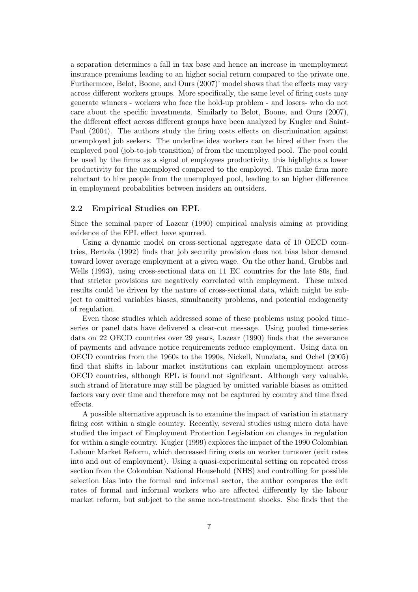a separation determines a fall in tax base and hence an increase in unemployment insurance premiums leading to an higher social return compared to the private one. Furthermore, Belot, Boone, and Ours (2007)' model shows that the effects may vary across different workers groups. More specifically, the same level of firing costs may generate winners - workers who face the hold-up problem - and losers- who do not care about the specific investments. Similarly to Belot, Boone, and Ours (2007), the different effect across different groups have been analyzed by Kugler and Saint-Paul (2004). The authors study the firing costs effects on discrimination against unemployed job seekers. The underline idea workers can be hired either from the employed pool (job-to-job transition) of from the unemployed pool. The pool could be used by the firms as a signal of employees productivity, this highlights a lower productivity for the unemployed compared to the employed. This make firm more reluctant to hire people from the unemployed pool, leading to an higher difference in employment probabilities between insiders an outsiders.

#### 2.2 Empirical Studies on EPL

Since the seminal paper of Lazear (1990) empirical analysis aiming at providing evidence of the EPL effect have spurred.

Using a dynamic model on cross-sectional aggregate data of 10 OECD countries, Bertola (1992) finds that job security provision does not bias labor demand toward lower average employment at a given wage. On the other hand, Grubbs and Wells (1993), using cross-sectional data on 11 EC countries for the late 80s, find that stricter provisions are negatively correlated with employment. These mixed results could be driven by the nature of cross-sectional data, which might be subject to omitted variables biases, simultaneity problems, and potential endogeneity of regulation.

Even those studies which addressed some of these problems using pooled timeseries or panel data have delivered a clear-cut message. Using pooled time-series data on 22 OECD countries over 29 years, Lazear (1990) finds that the severance of payments and advance notice requirements reduce employment. Using data on OECD countries from the 1960s to the 1990s, Nickell, Nunziata, and Ochel (2005) find that shifts in labour market institutions can explain unemployment across OECD countries, although EPL is found not significant. Although very valuable, such strand of literature may still be plagued by omitted variable biases as omitted factors vary over time and therefore may not be captured by country and time fixed effects.

A possible alternative approach is to examine the impact of variation in statuary firing cost within a single country. Recently, several studies using micro data have studied the impact of Employment Protection Legislation on changes in regulation for within a single country. Kugler (1999) explores the impact of the 1990 Colombian Labour Market Reform, which decreased firing costs on worker turnover (exit rates into and out of employment). Using a quasi-experimental setting on repeated cross section from the Colombian National Household (NHS) and controlling for possible selection bias into the formal and informal sector, the author compares the exit rates of formal and informal workers who are affected differently by the labour market reform, but subject to the same non-treatment shocks. She finds that the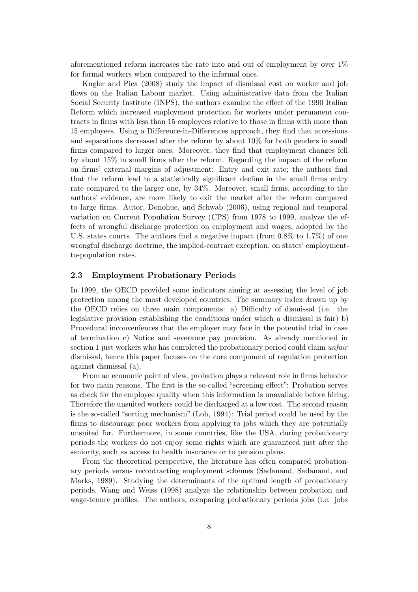aforementioned reform increases the rate into and out of employment by over 1% for formal workers when compared to the informal ones.

Kugler and Pica (2008) study the impact of dismissal cost on worker and job flows on the Italian Labour market. Using administrative data from the Italian Social Security Institute (INPS), the authors examine the effect of the 1990 Italian Reform which increased employment protection for workers under permanent contracts in firms with less than 15 employees relative to those in firms with more than 15 employees. Using a Difference-in-Differences approach, they find that accessions and separations decreased after the reform by about 10% for both genders in small firms compared to larger ones. Moreover, they find that employment changes fell by about 15% in small firms after the reform. Regarding the impact of the reform on firms' external margins of adjustment: Entry and exit rate; the authors find that the reform lead to a statistically significant decline in the small firms entry rate compared to the larger one, by 34%. Moreover, small firms, according to the authors' evidence, are more likely to exit the market after the reform compared to large firms. Autor, Donohue, and Schwab (2006), using regional and temporal variation on Current Population Survey (CPS) from 1978 to 1999, analyze the effects of wrongful discharge protection on employment and wages, adopted by the U.S. states courts. The authors find a negative impact (from  $0.8\%$  to  $1.7\%$ ) of one wrongful discharge doctrine, the implied-contract exception, on states' employmentto-population rates.

#### 2.3 Employment Probationary Periods

In 1999, the OECD provided some indicators aiming at assessing the level of job protection among the most developed countries. The summary index drawn up by the OECD relies on three main components: a) Difficulty of dismissal (i.e. the legislative provision establishing the conditions under which a dismissal is fair) b) Procedural inconveniences that the employer may face in the potential trial in case of termination c) Notice and severance pay provision. As already mentioned in section 1 just workers who has completed the probationary period could claim unfair dismissal, hence this paper focuses on the core component of regulation protection against dismissal (a).

From an economic point of view, probation plays a relevant role in firms behavior for two main reasons. The first is the so-called "screening effect": Probation serves as check for the employee quality when this information is unavailable before hiring. Therefore the unsuited workers could be discharged at a low cost. The second reason is the so-called "sorting mechanism" (Loh, 1994): Trial period could be used by the firms to discourage poor workers from applying to jobs which they are potentially unsuited for. Furthermore, in some countries, like the USA, during probationary periods the workers do not enjoy some rights which are guaranteed just after the seniority, such as access to health insurance or to pension plans.

From the theoretical perspective, the literature has often compared probationary periods versus recontracting employment schemes (Sadanand, Sadanand, and Marks, 1989). Studying the determinants of the optimal length of probationary periods, Wang and Weiss (1998) analyze the relationship between probation and wage-tenure profiles. The authors, comparing probationary periods jobs (i.e. jobs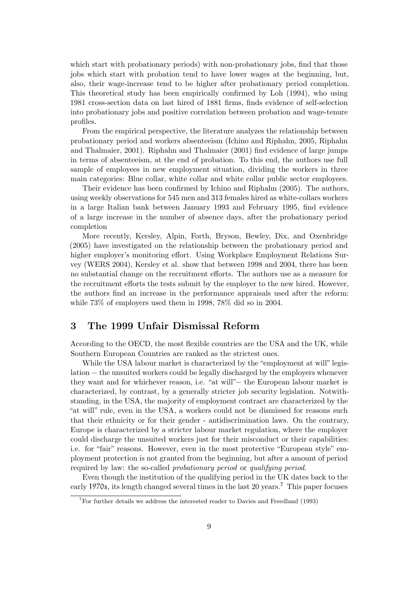which start with probationary periods) with non-probationary jobs, find that those jobs which start with probation tend to have lower wages at the beginning, but, also, their wage-increase tend to be higher after probationary period completion. This theoretical study has been empirically confirmed by Loh (1994), who using 1981 cross-section data on last hired of 1881 firms, finds evidence of self-selection into probationary jobs and positive correlation between probation and wage-tenure profiles.

From the empirical perspective, the literature analyzes the relationship between probationary period and workers absenteeism (Ichino and Riphahn, 2005, Riphahn and Thalmaier, 2001). Riphahn and Thalmaier (2001) find evidence of large jumps in terms of absenteeism, at the end of probation. To this end, the authors use full sample of employees in new employment situation, dividing the workers in three main categories: Blue collar, white collar and white collar public sector employees.

Their evidence has been confirmed by Ichino and Riphahn (2005). The authors, using weekly observations for 545 men and 313 females hired as white-collars workers in a large Italian bank between January 1993 and February 1995, find evidence of a large increase in the number of absence days, after the probationary period completion

More recently, Kersley, Alpin, Forth, Bryson, Bewley, Dix, and Oxenbridge (2005) have investigated on the relationship between the probationary period and higher employer's monitoring effort. Using Workplace Employment Relations Survey (WERS 2004), Kersley et al. show that between 1998 and 2004, there has been no substantial change on the recruitment efforts. The authors use as a measure for the recruitment efforts the tests submit by the employer to the new hired. However, the authors find an increase in the performance appraisals used after the reform: while 73% of employers used them in 1998, 78% did so in 2004.

## 3 The 1999 Unfair Dismissal Reform

According to the OECD, the most flexible countries are the USA and the UK, while Southern European Countries are ranked as the strictest ones.

While the USA labour market is characterized by the "employment at will" legislation − the unsuited workers could be legally discharged by the employers whenever they want and for whichever reason, i.e. "at will"− the European labour market is characterized, by contrast, by a generally stricter job security legislation. Notwithstanding, in the USA, the majority of employment contract are characterized by the "at will" rule, even in the USA, a workers could not be dismissed for reasons such that their ethnicity or for their gender - antidiscrimination laws. On the contrary, Europe is characterized by a stricter labour market regulation, where the employer could discharge the unsuited workers just for their misconduct or their capabilities: i.e. for "fair" reasons. However, even in the most protective "European style" employment protection is not granted from the beginning, but after a amount of period required by law: the so-called *probationary period* or *qualifying period.* 

Even though the institution of the qualifying period in the UK dates back to the early 1970s, its length changed several times in the last 20 years.<sup>7</sup> This paper focuses

 ${}^{7}$ For further details we address the interested reader to Davies and Freedland (1993)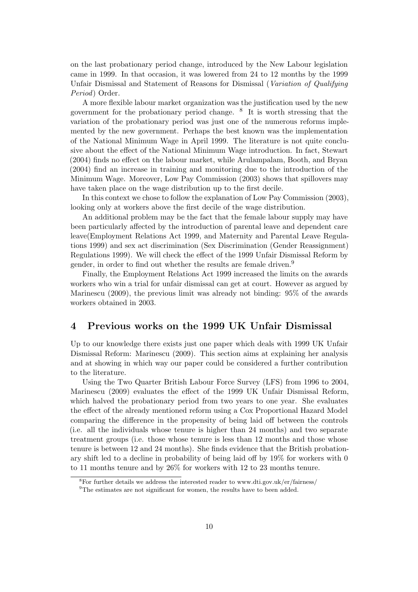on the last probationary period change, introduced by the New Labour legislation came in 1999. In that occasion, it was lowered from 24 to 12 months by the 1999 Unfair Dismissal and Statement of Reasons for Dismissal (Variation of Qualifying Period) Order.

A more flexible labour market organization was the justification used by the new government for the probationary period change. <sup>8</sup> It is worth stressing that the variation of the probationary period was just one of the numerous reforms implemented by the new government. Perhaps the best known was the implementation of the National Minimum Wage in April 1999. The literature is not quite conclusive about the effect of the National Minimum Wage introduction. In fact, Stewart (2004) finds no effect on the labour market, while Arulampalam, Booth, and Bryan (2004) find an increase in training and monitoring due to the introduction of the Minimum Wage. Moreover, Low Pay Commission (2003) shows that spillovers may have taken place on the wage distribution up to the first decile.

In this context we chose to follow the explanation of Low Pay Commission (2003), looking only at workers above the first decile of the wage distribution.

An additional problem may be the fact that the female labour supply may have been particularly affected by the introduction of parental leave and dependent care leave(Employment Relations Act 1999, and Maternity and Parental Leave Regulations 1999) and sex act discrimination (Sex Discrimination (Gender Reassignment) Regulations 1999). We will check the effect of the 1999 Unfair Dismissal Reform by gender, in order to find out whether the results are female driven.<sup>9</sup>

Finally, the Employment Relations Act 1999 increased the limits on the awards workers who win a trial for unfair dismissal can get at court. However as argued by Marinescu (2009), the previous limit was already not binding: 95% of the awards workers obtained in 2003.

## 4 Previous works on the 1999 UK Unfair Dismissal

Up to our knowledge there exists just one paper which deals with 1999 UK Unfair Dismissal Reform: Marinescu (2009). This section aims at explaining her analysis and at showing in which way our paper could be considered a further contribution to the literature.

Using the Two Quarter British Labour Force Survey (LFS) from 1996 to 2004, Marinescu (2009) evaluates the effect of the 1999 UK Unfair Dismissal Reform, which halved the probationary period from two years to one year. She evaluates the effect of the already mentioned reform using a Cox Proportional Hazard Model comparing the difference in the propensity of being laid off between the controls (i.e. all the individuals whose tenure is higher than 24 months) and two separate treatment groups (i.e. those whose tenure is less than 12 months and those whose tenure is between 12 and 24 months). She finds evidence that the British probationary shift led to a decline in probability of being laid off by 19% for workers with 0 to 11 months tenure and by 26% for workers with 12 to 23 months tenure.

<sup>8</sup>For further details we address the interested reader to www.dti.gov.uk/er/fairness/

<sup>&</sup>lt;sup>9</sup>The estimates are not significant for women, the results have to been added.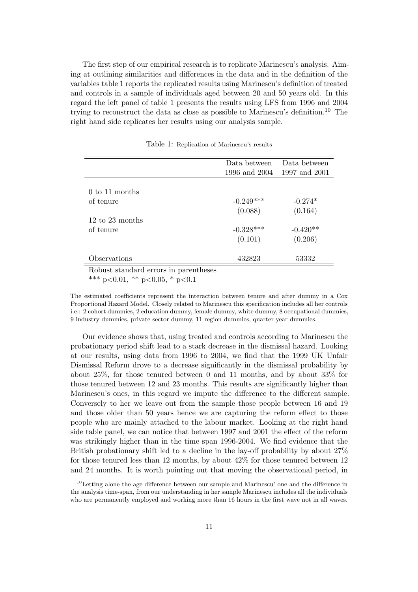The first step of our empirical research is to replicate Marinescu's analysis. Aiming at outlining similarities and differences in the data and in the definition of the variables table 1 reports the replicated results using Marinescu's definition of treated and controls in a sample of individuals aged between 20 and 50 years old. In this regard the left panel of table 1 presents the results using LFS from 1996 and 2004 trying to reconstruct the data as close as possible to Marinescu's definition.<sup>10</sup> The right hand side replicates her results using our analysis sample.

|                                    | Data between  | Data between  |
|------------------------------------|---------------|---------------|
|                                    | 1996 and 2004 | 1997 and 2001 |
|                                    |               |               |
| $0 \text{ to } 11 \text{ months}$  |               |               |
| of tenure                          | $-0.249***$   | $-0.274*$     |
|                                    | (0.088)       | (0.164)       |
| $12 \text{ to } 23 \text{ months}$ |               |               |
| of tenure                          | $-0.328***$   | $-0.420**$    |
|                                    | (0.101)       | (0.206)       |
| Observations                       | 432823        | 53332         |

Table 1: Replication of Marinescu's results

Robust standard errors in parentheses \*\*\* p<0.01, \*\* p<0.05, \* p<0.1

The estimated coefficients represent the interaction between tenure and after dummy in a Cox Proportional Hazard Model. Closely related to Marinescu this specification includes all her controls i.e.: 2 cohort dummies, 2 education dummy, female dummy, white dummy, 8 occupational dummies,

9 industry dummies, private sector dummy, 11 region dummies, quarter-year dummies.

Our evidence shows that, using treated and controls according to Marinescu the probationary period shift lead to a stark decrease in the dismissal hazard. Looking at our results, using data from 1996 to 2004, we find that the 1999 UK Unfair Dismissal Reform drove to a decrease significantly in the dismissal probability by about 25%, for those tenured between 0 and 11 months, and by about 33% for those tenured between 12 and 23 months. This results are significantly higher than Marinescu's ones, in this regard we impute the difference to the different sample. Conversely to her we leave out from the sample those people between 16 and 19 and those older than 50 years hence we are capturing the reform effect to those people who are mainly attached to the labour market. Looking at the right hand side table panel, we can notice that between 1997 and 2001 the effect of the reform was strikingly higher than in the time span 1996-2004. We find evidence that the British probationary shift led to a decline in the lay-off probability by about 27% for those tenured less than 12 months, by about 42% for those tenured between 12 and 24 months. It is worth pointing out that moving the observational period, in

 $10$ Letting alone the age difference between our sample and Marinescu' one and the difference in the analysis time-span, from our understanding in her sample Marinescu includes all the individuals who are permanently employed and working more than 16 hours in the first wave not in all waves.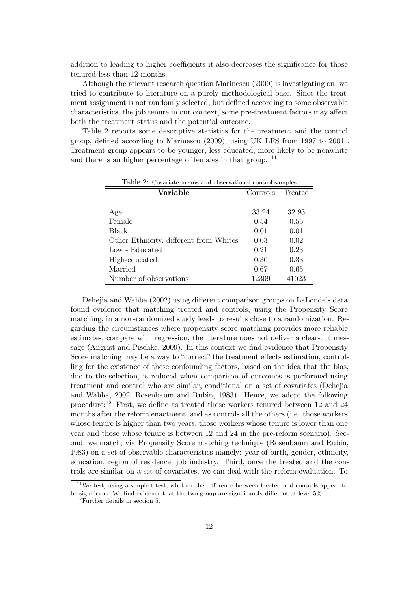addition to leading to higher coefficients it also decreases the significance for those tenured less than 12 months.

Although the relevant research question Marinescu (2009) is investigating on, we tried to contribute to literature on a purely methodological base. Since the treatment assignment is not randomly selected, but defined according to some observable characteristics, the job tenure in our context, some pre-treatment factors may affect both the treatment status and the potential outcome.

Table 2 reports some descriptive statistics for the treatment and the control group, defined according to Marinescu (2009), using UK LFS from 1997 to 2001 . Treatment group appears to be younger, less educated, more likely to be nonwhite and there is an higher percentage of females in that group. <sup>11</sup>

| Variable                               | Controls | л.<br>Treated |
|----------------------------------------|----------|---------------|
|                                        |          |               |
| Age                                    | 33.24    | 32.93         |
| Female                                 | 0.54     | 0.55          |
| <b>Black</b>                           | 0.01     | 0.01          |
| Other Ethnicity, different from Whites | 0.03     | 0.02          |
| Low - Educated                         | 0.21     | 0.23          |
| High-educated                          | 0.30     | 0.33          |
| Married                                | 0.67     | 0.65          |
| Number of observations                 | 12309    | 41023         |

Table 2: Covariate means and observational control samples

Dehejia and Wahba (2002) using different comparison groups on LaLonde's data found evidence that matching treated and controls, using the Propensity Score matching, in a non-randomized study leads to results close to a randomization. Regarding the circumstances where propensity score matching provides more reliable estimates, compare with regression, the literature does not deliver a clear-cut message (Angrist and Pischke, 2009). In this context we find evidence that Propensity Score matching may be a way to "correct" the treatment effects estimation, controlling for the existence of these confounding factors, based on the idea that the bias, due to the selection, is reduced when comparison of outcomes is performed using treatment and control who are similar, conditional on a set of covariates (Dehejia and Wahba, 2002, Rosenbaum and Rubin, 1983). Hence, we adopt the following procedure:<sup>12</sup> First, we define as treated those workers tenured between 12 and 24 months after the reform enactment, and as controls all the others (i.e. those workers whose tenure is higher than two years, those workers whose tenure is lower than one year and those whose tenure is between 12 and 24 in the pre-reform scenario). Second, we match, via Propensity Score matching technique (Rosenbaum and Rubin, 1983) on a set of observable characteristics namely: year of birth, gender, ethnicity, education, region of residence, job industry. Third, once the treated and the controls are similar on a set of covariates, we can deal with the reform evaluation. To

<sup>&</sup>lt;sup>11</sup>We test, using a simple t-test, whether the difference between treated and controls appear to be significant. We find evidence that the two group are significantly different at level 5%.

 $12$ Further details in section 5.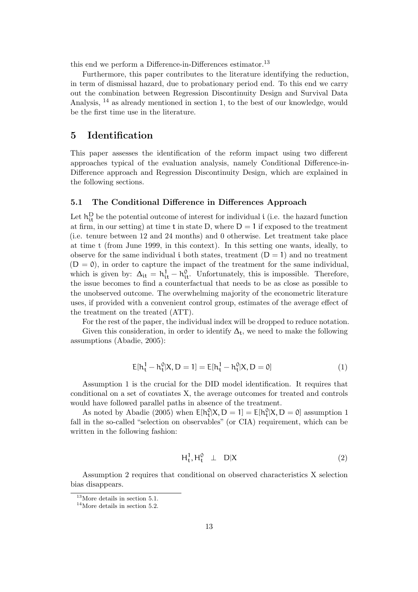this end we perform a Difference-in-Differences estimator.<sup>13</sup>

Furthermore, this paper contributes to the literature identifying the reduction, in term of dismissal hazard, due to probationary period end. To this end we carry out the combination between Regression Discontinuity Design and Survival Data Analysis, <sup>14</sup> as already mentioned in section 1, to the best of our knowledge, would be the first time use in the literature.

## 5 Identification

This paper assesses the identification of the reform impact using two different approaches typical of the evaluation analysis, namely Conditional Difference-in-Difference approach and Regression Discontinuity Design, which are explained in the following sections.

#### 5.1 The Conditional Difference in Differences Approach

Let  $h_{it}^{D}$  be the potential outcome of interest for individual i (i.e. the hazard function at firm, in our setting) at time t in state D, where  $D = 1$  if exposed to the treatment (i.e. tenure between 12 and 24 months) and 0 otherwise. Let treatment take place at time t (from June 1999, in this context). In this setting one wants, ideally, to observe for the same individual i both states, treatment  $(D = 1)$  and no treatment  $(D = 0)$ , in order to capture the impact of the treatment for the same individual, which is given by:  $\Delta_{it} = h_{it}^1 - h_{it}^0$ . Unfortunately, this is impossible. Therefore, the issue becomes to find a counterfactual that needs to be as close as possible to the unobserved outcome. The overwhelming majority of the econometric literature uses, if provided with a convenient control group, estimates of the average effect of the treatment on the treated (ATT).

For the rest of the paper, the individual index will be dropped to reduce notation.

Given this consideration, in order to identify  $\Delta_t$ , we need to make the following assumptions (Abadie, 2005):

$$
E[h_t^1 - h_t^0 | X, D = 1] = E[h_t^1 - h_t^0 | X, D = 0]
$$
\n(1)

Assumption 1 is the crucial for the DID model identification. It requires that conditional on a set of covatiates X, the average outcomes for treated and controls would have followed parallel paths in absence of the treatment.

As noted by Abadie (2005) when  $E[h_t^0|X, D = 1] = E[h_t^0|X, D = 0]$  assumption 1 fall in the so-called "selection on observables" (or CIA) requirement, which can be written in the following fashion:

$$
H_t^1, H_t^0 \perp D|X \tag{2}
$$

Assumption 2 requires that conditional on observed characteristics X selection bias disappears.

<sup>13</sup>More details in section 5.1.

<sup>14</sup>More details in section 5.2.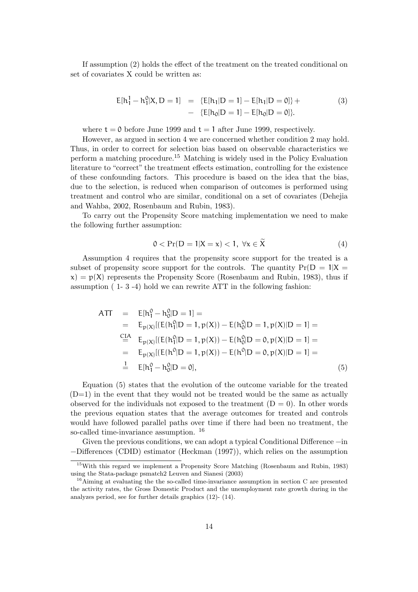If assumption (2) holds the effect of the treatment on the treated conditional on set of covariates X could be written as:

$$
E[h_1^1 - h_1^0 | X, D = 1] = \{E[h_1 | D = 1] - E[h_1 | D = 0]\} +
$$
  
- 
$$
\{E[h_0 | D = 1] - E[h_0 | D = 0]\}.
$$
 (3)

where  $t = 0$  before June 1999 and  $t = 1$  after June 1999, respectively.

However, as argued in section 4 we are concerned whether condition 2 may hold. Thus, in order to correct for selection bias based on observable characteristics we perform a matching procedure.<sup>15</sup> Matching is widely used in the Policy Evaluation literature to "correct" the treatment effects estimation, controlling for the existence of these confounding factors. This procedure is based on the idea that the bias, due to the selection, is reduced when comparison of outcomes is performed using treatment and control who are similar, conditional on a set of covariates (Dehejia and Wahba, 2002, Rosenbaum and Rubin, 1983).

To carry out the Propensity Score matching implementation we need to make the following further assumption:

$$
0 < \Pr(D = 1 | X = x) < 1, \ \forall x \in \widetilde{X} \tag{4}
$$

Assumption 4 requires that the propensity score support for the treated is a subset of propensity score support for the controls. The quantity  $Pr(D = 1|X =$  $x) = p(X)$  represents the Propensity Score (Rosenbaum and Rubin, 1983), thus if assumption ( 1- 3 -4) hold we can rewrite ATT in the following fashion:

$$
ATT = E[h_1^0 - h_0^0|D = 1] =
$$
  
\n
$$
= E_{p(X)}[(E(h_1^0|D = 1, p(X)) - E(h_0^0|D = 1, p(X)|D = 1] =
$$
  
\n
$$
= E_{p(X)}[(E(h_1^0|D = 1, p(X)) - E(h_0^0|D = 0, p(X)|D = 1] =
$$
  
\n
$$
= E_{p(X)}[(E(h^0|D = 1, p(X)) - E(h^0|D = 0, p(X)|D = 1] =
$$
  
\n
$$
= E[h_1^0 - h_0^0|D = 0],
$$
  
\n(5)

Equation (5) states that the evolution of the outcome variable for the treated  $(D=1)$  in the event that they would not be treated would be the same as actually observed for the individuals not exposed to the treatment  $(D = 0)$ . In other words the previous equation states that the average outcomes for treated and controls would have followed parallel paths over time if there had been no treatment, the so-called time-invariance assumption. <sup>16</sup>

Given the previous conditions, we can adopt a typical Conditional Difference −in −Differences (CDID) estimator (Heckman (1997)), which relies on the assumption

<sup>15</sup>With this regard we implement a Propensity Score Matching (Rosenbaum and Rubin, 1983) using the Stata-package psmatch2 Leuven and Sianesi (2003)

<sup>&</sup>lt;sup>16</sup>Aiming at evaluating the the so-called time-invariance assumption in section C are presented the activity rates, the Gross Domestic Product and the unemployment rate growth during in the analyzes period, see for further details graphics (12)- (14).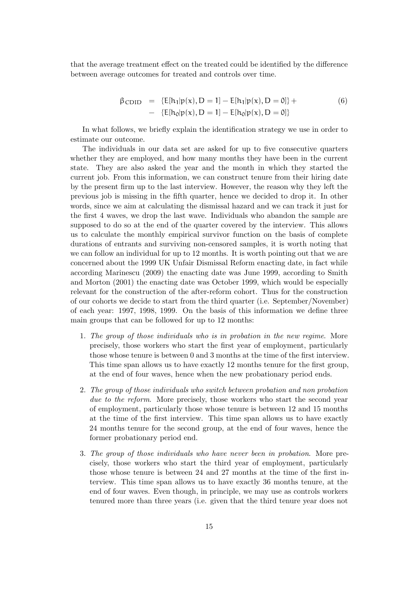that the average treatment effect on the treated could be identified by the difference between average outcomes for treated and controls over time.

$$
\beta_{\text{CDID}} = \{E[h_1|\mathbf{p}(\mathbf{x}), D = 1] - E[h_1|\mathbf{p}(\mathbf{x}), D = 0]\} + \n- \{E[h_0|\mathbf{p}(\mathbf{x}), D = 1] - E[h_0|\mathbf{p}(\mathbf{x}), D = 0]\}
$$
\n(6)

In what follows, we briefly explain the identification strategy we use in order to estimate our outcome.

The individuals in our data set are asked for up to five consecutive quarters whether they are employed, and how many months they have been in the current state. They are also asked the year and the month in which they started the current job. From this information, we can construct tenure from their hiring date by the present firm up to the last interview. However, the reason why they left the previous job is missing in the fifth quarter, hence we decided to drop it. In other words, since we aim at calculating the dismissal hazard and we can track it just for the first 4 waves, we drop the last wave. Individuals who abandon the sample are supposed to do so at the end of the quarter covered by the interview. This allows us to calculate the monthly empirical survivor function on the basis of complete durations of entrants and surviving non-censored samples, it is worth noting that we can follow an individual for up to 12 months. It is worth pointing out that we are concerned about the 1999 UK Unfair Dismissal Reform enacting date, in fact while according Marinescu (2009) the enacting date was June 1999, according to Smith and Morton (2001) the enacting date was October 1999, which would be especially relevant for the construction of the after-reform cohort. Thus for the construction of our cohorts we decide to start from the third quarter (i.e. September/November) of each year: 1997, 1998, 1999. On the basis of this information we define three main groups that can be followed for up to 12 months:

- 1. The group of those individuals who is in probation in the new regime. More precisely, those workers who start the first year of employment, particularly those whose tenure is between 0 and 3 months at the time of the first interview. This time span allows us to have exactly 12 months tenure for the first group, at the end of four waves, hence when the new probationary period ends.
- 2. The group of those individuals who switch between probation and non probation due to the reform. More precisely, those workers who start the second year of employment, particularly those whose tenure is between 12 and 15 months at the time of the first interview. This time span allows us to have exactly 24 months tenure for the second group, at the end of four waves, hence the former probationary period end.
- 3. The group of those individuals who have never been in probation. More precisely, those workers who start the third year of employment, particularly those whose tenure is between 24 and 27 months at the time of the first interview. This time span allows us to have exactly 36 months tenure, at the end of four waves. Even though, in principle, we may use as controls workers tenured more than three years (i.e. given that the third tenure year does not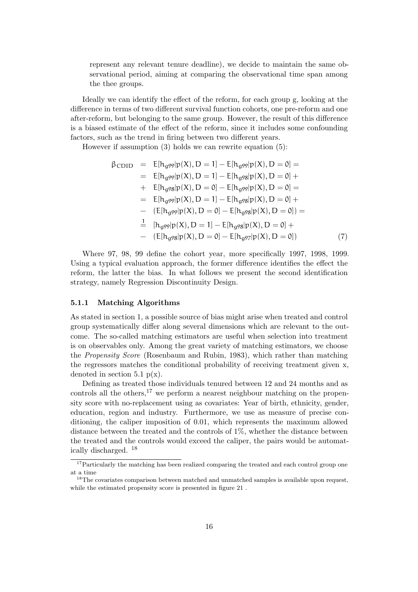represent any relevant tenure deadline), we decide to maintain the same observational period, aiming at comparing the observational time span among the thee groups.

Ideally we can identify the effect of the reform, for each group g, looking at the difference in terms of two different survival function cohorts, one pre-reform and one after-reform, but belonging to the same group. However, the result of this difference is a biased estimate of the effect of the reform, since it includes some confounding factors, such as the trend in firing between two different years.

However if assumption (3) holds we can rewrite equation (5):

$$
\beta_{\text{CDID}} = E[h_{g99}|p(X), D = 1] - E[h_{g99}|p(X), D = 0] =
$$
\n
$$
= E[h_{g99}|p(X), D = 1] - E[h_{g98}|p(X), D = 0] +
$$
\n
$$
+ E[h_{g98}|p(X), D = 0] - E[h_{g99}|p(X), D = 0] =
$$
\n
$$
= E[h_{g99}|p(X), D = 1] - E[h_{g98}|p(X), D = 0] +
$$
\n
$$
- (E[h_{g99}|p(X), D = 0] - E[h_{g98}|p(X), D = 0]) =
$$
\n
$$
\frac{1}{2} [h_{g99}|p(X), D = 1] - E[h_{g98}|p(X), D = 0] +
$$
\n
$$
- (E[h_{g98}|p(X), D = 0] - E[h_{g97}|p(X), D = 0]) \tag{7}
$$

Where 97, 98, 99 define the cohort year, more specifically 1997, 1998, 1999. Using a typical evaluation approach, the former difference identifies the effect the reform, the latter the bias. In what follows we present the second identification strategy, namely Regression Discontinuity Design.

#### 5.1.1 Matching Algorithms

As stated in section 1, a possible source of bias might arise when treated and control group systematically differ along several dimensions which are relevant to the outcome. The so-called matching estimators are useful when selection into treatment is on observables only. Among the great variety of matching estimators, we choose the Propensity Score (Rosenbaum and Rubin, 1983), which rather than matching the regressors matches the conditional probability of receiving treatment given x, denoted in section 5.1  $p(x)$ .

Defining as treated those individuals tenured between 12 and 24 months and as controls all the others,  $17$  we perform a nearest neighbour matching on the propensity score with no-replacement using as covariates: Year of birth, ethnicity, gender, education, region and industry. Furthermore, we use as measure of precise conditioning, the caliper imposition of 0.01, which represents the maximum allowed distance between the treated and the controls of  $1\%$ , whether the distance between the treated and the controls would exceed the caliper, the pairs would be automatically discharged. <sup>18</sup>

<sup>&</sup>lt;sup>17</sup>Particularly the matching has been realized comparing the treated and each control group one at a time

<sup>&</sup>lt;sup>18</sup>The covariates comparison between matched and unmatched samples is available upon request, while the estimated propensity score is presented in figure 21 .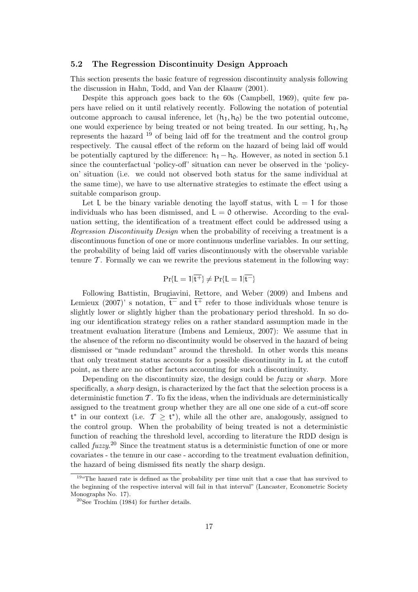#### 5.2 The Regression Discontinuity Design Approach

This section presents the basic feature of regression discontinuity analysis following the discussion in Hahn, Todd, and Van der Klaauw (2001).

Despite this approach goes back to the 60s (Campbell, 1969), quite few papers have relied on it until relatively recently. Following the notation of potential outcome approach to causal inference, let  $(h_1, h_0)$  be the two potential outcome, one would experience by being treated or not being treated. In our setting,  $h_1$ ,  $h_0$ represents the hazard <sup>19</sup> of being laid off for the treatment and the control group respectively. The causal effect of the reform on the hazard of being laid off would be potentially captured by the difference:  $h_1 - h_0$ . However, as noted in section 5.1 since the counterfactual 'policy-off' situation can never be observed in the 'policyon' situation (i.e. we could not observed both status for the same individual at the same time), we have to use alternative strategies to estimate the effect using a suitable comparison group.

Let L be the binary variable denoting the layoff status, with  $L = 1$  for those individuals who has been dismissed, and  $L = 0$  otherwise. According to the evaluation setting, the identification of a treatment effect could be addressed using a Regression Discontinuity Design when the probability of receiving a treatment is a discontinuous function of one or more continuous underline variables. In our setting, the probability of being laid off varies discontinuously with the observable variable tenure  $\mathcal T$ . Formally we can we rewrite the previous statement in the following way:

$$
\Pr\{L=1|\overline{t^+}\}\neq \Pr\{L=1|\overline{t^-}\}
$$

Following Battistin, Brugiavini, Rettore, and Weber (2009) and Imbens and Lemieux (2007)' s notation,  $\overline{t}$  and  $\overline{t}$  refer to those individuals whose tenure is slightly lower or slightly higher than the probationary period threshold. In so doing our identification strategy relies on a rather standard assumption made in the treatment evaluation literature (Imbens and Lemieux, 2007): We assume that in the absence of the reform no discontinuity would be observed in the hazard of being dismissed or "made redundant" around the threshold. In other words this means that only treatment status accounts for a possible discontinuity in L at the cutoff point, as there are no other factors accounting for such a discontinuity.

Depending on the discontinuity size, the design could be *fuzzy* or *sharp*. More specifically, a sharp design, is characterized by the fact that the selection process is a deterministic function  $\mathcal{T}$ . To fix the ideas, when the individuals are deterministically assigned to the treatment group whether they are all one one side of a cut-off score  $t^*$  in our context (i.e.  $\mathcal{T} \geq t^*$ ), while all the other are, analogously, assigned to the control group. When the probability of being treated is not a deterministic function of reaching the threshold level, according to literature the RDD design is called  $fuzzy<sup>20</sup>$  Since the treatment status is a deterministic function of one or more covariates - the tenure in our case - according to the treatment evaluation definition, the hazard of being dismissed fits neatly the sharp design.

<sup>19</sup>"The hazard rate is defined as the probability per time unit that a case that has survived to the beginning of the respective interval will fail in that interval" (Lancaster, Econometric Society Monographs No. 17).

<sup>20</sup>See Trochim (1984) for further details.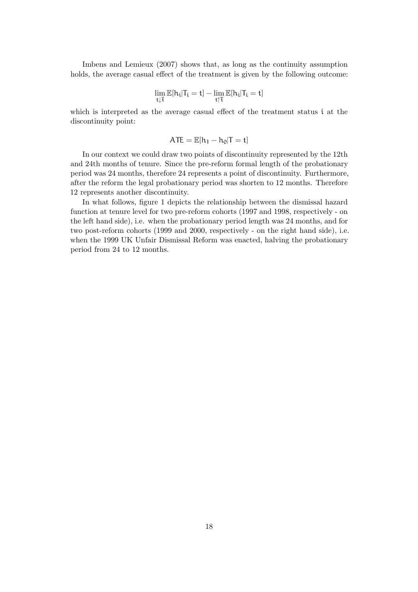Imbens and Lemieux (2007) shows that, as long as the continuity assumption holds, the average casual effect of the treatment is given by the following outcome:

$$
\lim_{t\downarrow\overline{t}}\mathbb{E}[h_i|T_i=t]-\lim_{t\uparrow\overline{t}}\mathbb{E}[h_i|T_i=t]
$$

which is interpreted as the average casual effect of the treatment status i at the discontinuity point:

$$
ATE = \mathbb{E}[h_1 - h_0|T = t]
$$

In our context we could draw two points of discontinuity represented by the 12th and 24th months of tenure. Since the pre-reform formal length of the probationary period was 24 months, therefore 24 represents a point of discontinuity. Furthermore, after the reform the legal probationary period was shorten to 12 months. Therefore 12 represents another discontinuity.

In what follows, figure 1 depicts the relationship between the dismissal hazard function at tenure level for two pre-reform cohorts (1997 and 1998, respectively - on the left hand side), i.e. when the probationary period length was 24 months, and for two post-reform cohorts (1999 and 2000, respectively - on the right hand side), i.e. when the 1999 UK Unfair Dismissal Reform was enacted, halving the probationary period from 24 to 12 months.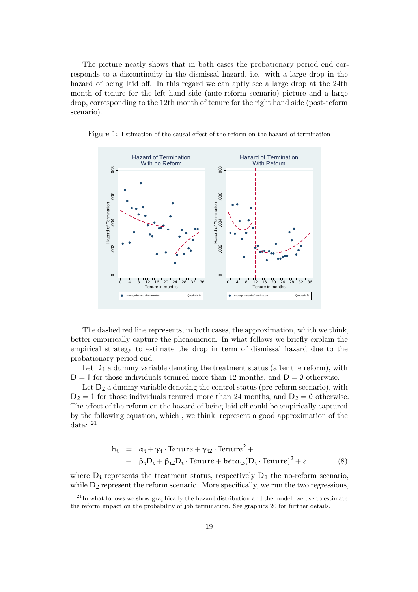The picture neatly shows that in both cases the probationary period end corresponds to a discontinuity in the dismissal hazard, i.e. with a large drop in the hazard of being laid off. In this regard we can aptly see a large drop at the 24th month of tenure for the left hand side (ante-reform scenario) picture and a large drop, corresponding to the 12th month of tenure for the right hand side (post-reform scenario).



Figure 1: Estimation of the causal effect of the reform on the hazard of termination

The dashed red line represents, in both cases, the approximation, which we think, better empirically capture the phenomenon. In what follows we briefly explain the empirical strategy to estimate the drop in term of dismissal hazard due to the probationary period end.

Let  $D_1$  a dummy variable denoting the treatment status (after the reform), with  $D = 1$  for those individuals tenured more than 12 months, and  $D = 0$  otherwise.

Let  $D_2$  a dummy variable denoting the control status (pre-reform scenario), with  $D_2 = 1$  for those individuals tenured more than 24 months, and  $D_2 = 0$  otherwise. The effect of the reform on the hazard of being laid off could be empirically captured by the following equation, which , we think, represent a good approximation of the data: <sup>21</sup>

$$
h_i = \alpha_i + \gamma_i \cdot \text{Tenure} + \gamma_{i2} \cdot \text{Tenure}^2 + + \beta_i D_i + \beta_{i2} D_i \cdot \text{Tenure} + \text{beta}_{i3} (D_i \cdot \text{Tenure})^2 + \varepsilon
$$
 (8)

where  $D_i$  represents the treatment status, respectively  $D_1$  the no-reform scenario, while  $D_2$  represent the reform scenario. More specifically, we run the two regressions,

 $^{21}$ In what follows we show graphically the hazard distribution and the model, we use to estimate the reform impact on the probability of job termination. See graphics 20 for further details.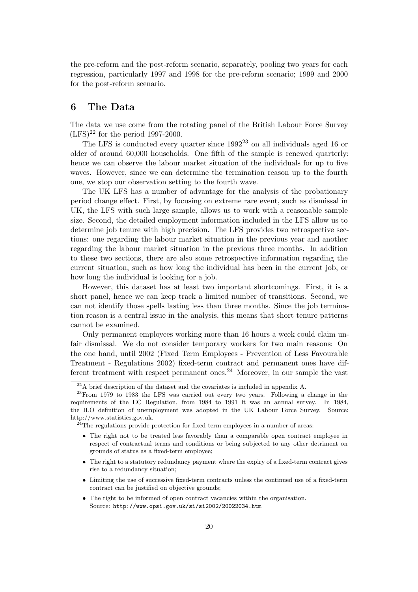the pre-reform and the post-reform scenario, separately, pooling two years for each regression, particularly 1997 and 1998 for the pre-reform scenario; 1999 and 2000 for the post-reform scenario.

## 6 The Data

The data we use come from the rotating panel of the British Labour Force Survey  $(LFS)^{22}$  for the period 1997-2000.

The LFS is conducted every quarter since  $1992^{23}$  on all individuals aged 16 or older of around 60,000 households. One fifth of the sample is renewed quarterly: hence we can observe the labour market situation of the individuals for up to five waves. However, since we can determine the termination reason up to the fourth one, we stop our observation setting to the fourth wave.

The UK LFS has a number of advantage for the analysis of the probationary period change effect. First, by focusing on extreme rare event, such as dismissal in UK, the LFS with such large sample, allows us to work with a reasonable sample size. Second, the detailed employment information included in the LFS allow us to determine job tenure with high precision. The LFS provides two retrospective sections: one regarding the labour market situation in the previous year and another regarding the labour market situation in the previous three months. In addition to these two sections, there are also some retrospective information regarding the current situation, such as how long the individual has been in the current job, or how long the individual is looking for a job.

However, this dataset has at least two important shortcomings. First, it is a short panel, hence we can keep track a limited number of transitions. Second, we can not identify those spells lasting less than three months. Since the job termination reason is a central issue in the analysis, this means that short tenure patterns cannot be examined.

Only permanent employees working more than 16 hours a week could claim unfair dismissal. We do not consider temporary workers for two main reasons: On the one hand, until 2002 (Fixed Term Employees - Prevention of Less Favourable Treatment - Regulations 2002) fixed-term contract and permanent ones have different treatment with respect permanent ones.<sup>24</sup> Moreover, in our sample the vast

- The right to a statutory redundancy payment where the expiry of a fixed-term contract gives rise to a redundancy situation;
- Limiting the use of successive fixed-term contracts unless the continued use of a fixed-term contract can be justified on objective grounds;
- The right to be informed of open contract vacancies within the organisation. Source: http://www.opsi.gov.uk/si/si2002/20022034.htm

 $^{22}$ A brief description of the dataset and the covariates is included in appendix A.

<sup>23</sup>From 1979 to 1983 the LFS was carried out every two years. Following a change in the requirements of the EC Regulation, from 1984 to 1991 it was an annual survey. In 1984, the ILO definition of unemployment was adopted in the UK Labour Force Survey. Source: http://www.statistics.gov.uk.

 $^{24}$ The regulations provide protection for fixed-term employees in a number of areas:

<sup>•</sup> The right not to be treated less favorably than a comparable open contract employee in respect of contractual terms and conditions or being subjected to any other detriment on grounds of status as a fixed-term employee;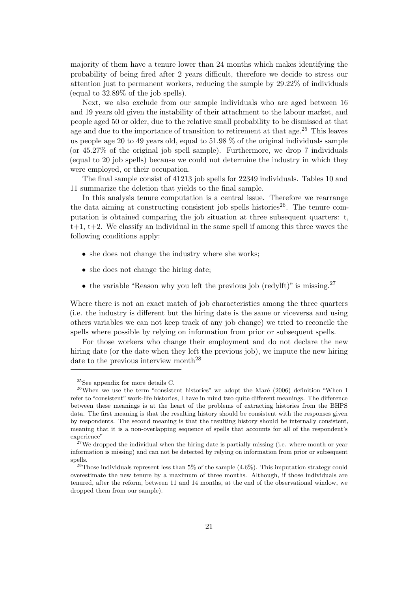majority of them have a tenure lower than 24 months which makes identifying the probability of being fired after 2 years difficult, therefore we decide to stress our attention just to permanent workers, reducing the sample by 29.22% of individuals (equal to 32.89% of the job spells).

Next, we also exclude from our sample individuals who are aged between 16 and 19 years old given the instability of their attachment to the labour market, and people aged 50 or older, due to the relative small probability to be dismissed at that age and due to the importance of transition to retirement at that age.<sup>25</sup> This leaves us people age 20 to 49 years old, equal to 51.98 % of the original individuals sample (or 45.27% of the original job spell sample). Furthermore, we drop 7 individuals (equal to 20 job spells) because we could not determine the industry in which they were employed, or their occupation.

The final sample consist of 41213 job spells for 22349 individuals. Tables 10 and 11 summarize the deletion that yields to the final sample.

In this analysis tenure computation is a central issue. Therefore we rearrange the data aiming at constructing consistent job spells histories<sup>26</sup>. The tenure computation is obtained comparing the job situation at three subsequent quarters: t,  $t+1$ ,  $t+2$ . We classify an individual in the same spell if among this three waves the following conditions apply:

- she does not change the industry where she works;
- she does not change the hiring date;
- the variable "Reason why you left the previous job (redylft)" is missing.<sup>27</sup>

Where there is not an exact match of job characteristics among the three quarters (i.e. the industry is different but the hiring date is the same or viceversa and using others variables we can not keep track of any job change) we tried to reconcile the spells where possible by relying on information from prior or subsequent spells.

For those workers who change their employment and do not declare the new hiring date (or the date when they left the previous job), we impute the new hiring date to the previous interview month<sup>28</sup>

<sup>25</sup>See appendix for more details C.

 $26$ When we use the term "consistent histories" we adopt the Maré (2006) definition "When I refer to "consistent" work-life histories, I have in mind two quite different meanings. The difference between these meanings is at the heart of the problems of extracting histories from the BHPS data. The first meaning is that the resulting history should be consistent with the responses given by respondents. The second meaning is that the resulting history should be internally consistent, meaning that it is a non-overlapping sequence of spells that accounts for all of the respondent's experience"

<sup>&</sup>lt;sup>27</sup>We dropped the individual when the hiring date is partially missing (i.e. where month or year information is missing) and can not be detected by relying on information from prior or subsequent spells.

<sup>&</sup>lt;sup>28</sup>Those individuals represent less than 5% of the sample  $(4.6\%)$ . This imputation strategy could overestimate the new tenure by a maximum of three months. Although, if those individuals are tenured, after the reform, between 11 and 14 months, at the end of the observational window, we dropped them from our sample).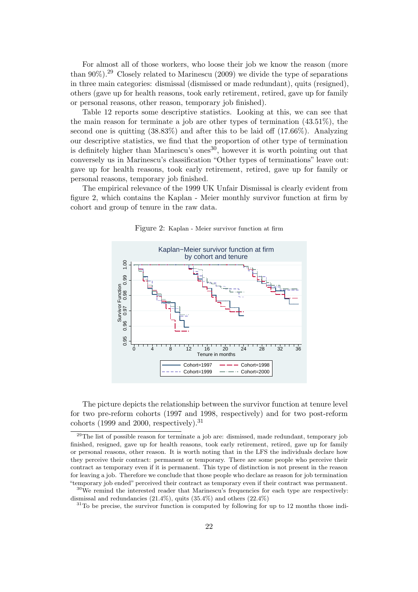For almost all of those workers, who loose their job we know the reason (more than  $90\%$ <sup>29</sup> Closely related to Marinescu (2009) we divide the type of separations in three main categories: dismissal (dismissed or made redundant), quits (resigned), others (gave up for health reasons, took early retirement, retired, gave up for family or personal reasons, other reason, temporary job finished).

Table 12 reports some descriptive statistics. Looking at this, we can see that the main reason for terminate a job are other types of termination  $(43.51\%)$ , the second one is quitting (38.83%) and after this to be laid off (17.66%). Analyzing our descriptive statistics, we find that the proportion of other type of termination is definitely higher than Marinescu's ones<sup>30</sup>, however it is worth pointing out that conversely us in Marinescu's classification "Other types of terminations" leave out: gave up for health reasons, took early retirement, retired, gave up for family or personal reasons, temporary job finished.

The empirical relevance of the 1999 UK Unfair Dismissal is clearly evident from figure 2, which contains the Kaplan - Meier monthly survivor function at firm by cohort and group of tenure in the raw data.



Figure 2: Kaplan - Meier survivor function at firm

The picture depicts the relationship between the survivor function at tenure level for two pre-reform cohorts (1997 and 1998, respectively) and for two post-reform cohorts (1999 and 2000, respectively).<sup>31</sup>

 $31$ To be precise, the survivor function is computed by following for up to 12 months those indi-

 $29$ The list of possible reason for terminate a job are: dismissed, made redundant, temporary job finished, resigned, gave up for health reasons, took early retirement, retired, gave up for family or personal reasons, other reason. It is worth noting that in the LFS the individuals declare how they perceive their contract: permanent or temporary. There are some people who perceive their contract as temporary even if it is permanent. This type of distinction is not present in the reason for leaving a job. Therefore we conclude that those people who declare as reason for job termination "temporary job ended" perceived their contract as temporary even if their contract was permanent.

 $30\,\text{We remind the interested reader that Marinescu's frequencies for each type are respectively:}$ dismissal and redundancies  $(21.4\%)$ , quits  $(35.4\%)$  and others  $(22.4\%)$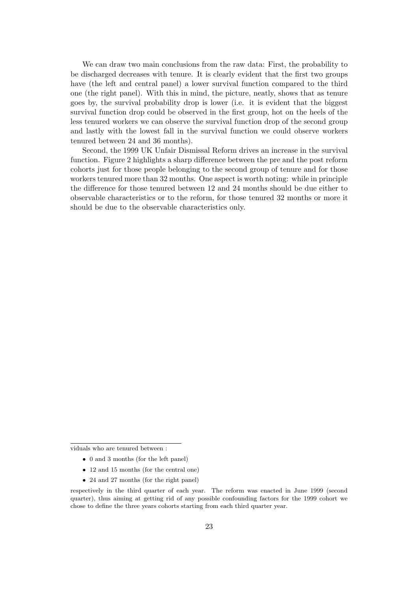We can draw two main conclusions from the raw data: First, the probability to be discharged decreases with tenure. It is clearly evident that the first two groups have (the left and central panel) a lower survival function compared to the third one (the right panel). With this in mind, the picture, neatly, shows that as tenure goes by, the survival probability drop is lower (i.e. it is evident that the biggest survival function drop could be observed in the first group, hot on the heels of the less tenured workers we can observe the survival function drop of the second group and lastly with the lowest fall in the survival function we could observe workers tenured between 24 and 36 months).

Second, the 1999 UK Unfair Dismissal Reform drives an increase in the survival function. Figure 2 highlights a sharp difference between the pre and the post reform cohorts just for those people belonging to the second group of tenure and for those workers tenured more than 32 months. One aspect is worth noting: while in principle the difference for those tenured between 12 and 24 months should be due either to observable characteristics or to the reform, for those tenured 32 months or more it should be due to the observable characteristics only.

viduals who are tenured between :

- 0 and 3 months (for the left panel)
- 12 and 15 months (for the central one)
- 24 and 27 months (for the right panel)

respectively in the third quarter of each year. The reform was enacted in June 1999 (second quarter), thus aiming at getting rid of any possible confounding factors for the 1999 cohort we chose to define the three years cohorts starting from each third quarter year.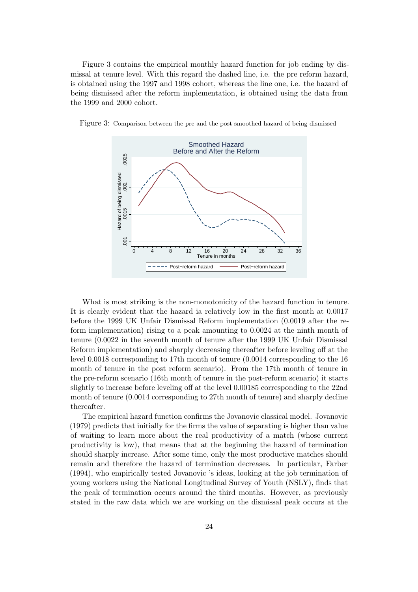Figure 3 contains the empirical monthly hazard function for job ending by dismissal at tenure level. With this regard the dashed line, i.e. the pre reform hazard, is obtained using the 1997 and 1998 cohort, whereas the line one, i.e. the hazard of being dismissed after the reform implementation, is obtained using the data from the 1999 and 2000 cohort.



Figure 3: Comparison between the pre and the post smoothed hazard of being dismissed

What is most striking is the non-monotonicity of the hazard function in tenure. It is clearly evident that the hazard ia relatively low in the first month at 0.0017 before the 1999 UK Unfair Dismissal Reform implementation (0.0019 after the reform implementation) rising to a peak amounting to 0.0024 at the ninth month of tenure (0.0022 in the seventh month of tenure after the 1999 UK Unfair Dismissal Reform implementation) and sharply decreasing thereafter before leveling off at the level 0.0018 corresponding to 17th month of tenure (0.0014 corresponding to the 16 month of tenure in the post reform scenario). From the 17th month of tenure in the pre-reform scenario (16th month of tenure in the post-reform scenario) it starts slightly to increase before leveling off at the level 0.00185 corresponding to the 22nd month of tenure (0.0014 corresponding to 27th month of tenure) and sharply decline thereafter.

The empirical hazard function confirms the Jovanovic classical model. Jovanovic (1979) predicts that initially for the firms the value of separating is higher than value of waiting to learn more about the real productivity of a match (whose current productivity is low), that means that at the beginning the hazard of termination should sharply increase. After some time, only the most productive matches should remain and therefore the hazard of termination decreases. In particular, Farber (1994), who empirically tested Jovanovic 's ideas, looking at the job termination of young workers using the National Longitudinal Survey of Youth (NSLY), finds that the peak of termination occurs around the third months. However, as previously stated in the raw data which we are working on the dismissal peak occurs at the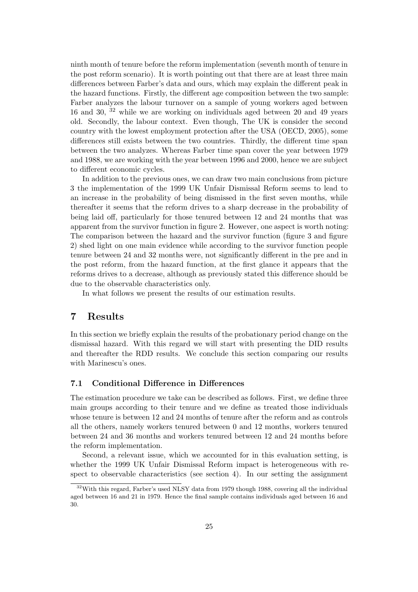ninth month of tenure before the reform implementation (seventh month of tenure in the post reform scenario). It is worth pointing out that there are at least three main differences between Farber's data and ours, which may explain the different peak in the hazard functions. Firstly, the different age composition between the two sample: Farber analyzes the labour turnover on a sample of young workers aged between 16 and 30, <sup>32</sup> while we are working on individuals aged between 20 and 49 years old. Secondly, the labour context. Even though, The UK is consider the second country with the lowest employment protection after the USA (OECD, 2005), some differences still exists between the two countries. Thirdly, the different time span between the two analyzes. Whereas Farber time span cover the year between 1979 and 1988, we are working with the year between 1996 and 2000, hence we are subject to different economic cycles.

In addition to the previous ones, we can draw two main conclusions from picture 3 the implementation of the 1999 UK Unfair Dismissal Reform seems to lead to an increase in the probability of being dismissed in the first seven months, while thereafter it seems that the reform drives to a sharp decrease in the probability of being laid off, particularly for those tenured between 12 and 24 months that was apparent from the survivor function in figure 2. However, one aspect is worth noting: The comparison between the hazard and the survivor function (figure 3 and figure 2) shed light on one main evidence while according to the survivor function people tenure between 24 and 32 months were, not significantly different in the pre and in the post reform, from the hazard function, at the first glance it appears that the reforms drives to a decrease, although as previously stated this difference should be due to the observable characteristics only.

In what follows we present the results of our estimation results.

## 7 Results

In this section we briefly explain the results of the probationary period change on the dismissal hazard. With this regard we will start with presenting the DID results and thereafter the RDD results. We conclude this section comparing our results with Marinescu's ones.

#### 7.1 Conditional Difference in Differences

The estimation procedure we take can be described as follows. First, we define three main groups according to their tenure and we define as treated those individuals whose tenure is between 12 and 24 months of tenure after the reform and as controls all the others, namely workers tenured between 0 and 12 months, workers tenured between 24 and 36 months and workers tenured between 12 and 24 months before the reform implementation.

Second, a relevant issue, which we accounted for in this evaluation setting, is whether the 1999 UK Unfair Dismissal Reform impact is heterogeneous with respect to observable characteristics (see section 4). In our setting the assignment

 $32$ With this regard, Farber's used NLSY data from 1979 though 1988, covering all the individual aged between 16 and 21 in 1979. Hence the final sample contains individuals aged between 16 and 30.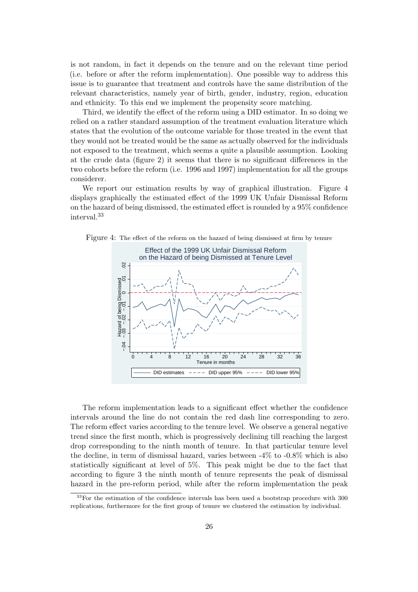is not random, in fact it depends on the tenure and on the relevant time period (i.e. before or after the reform implementation). One possible way to address this issue is to guarantee that treatment and controls have the same distribution of the relevant characteristics, namely year of birth, gender, industry, region, education and ethnicity. To this end we implement the propensity score matching.

Third, we identify the effect of the reform using a DID estimator. In so doing we relied on a rather standard assumption of the treatment evaluation literature which states that the evolution of the outcome variable for those treated in the event that they would not be treated would be the same as actually observed for the individuals not exposed to the treatment, which seems a quite a plausible assumption. Looking at the crude data (figure 2) it seems that there is no significant differences in the two cohorts before the reform (i.e. 1996 and 1997) implementation for all the groups considerer.

We report our estimation results by way of graphical illustration. Figure 4 displays graphically the estimated effect of the 1999 UK Unfair Dismissal Reform on the hazard of being dismissed, the estimated effect is rounded by a 95% confidence interval.<sup>33</sup>



Figure 4: The effect of the reform on the hazard of being dismissed at firm by tenure

The reform implementation leads to a significant effect whether the confidence intervals around the line do not contain the red dash line corresponding to zero. The reform effect varies according to the tenure level. We observe a general negative trend since the first month, which is progressively declining till reaching the largest drop corresponding to the ninth month of tenure. In that particular tenure level the decline, in term of dismissal hazard, varies between -4% to -0.8% which is also statistically significant at level of 5%. This peak might be due to the fact that according to figure 3 the ninth month of tenure represents the peak of dismissal hazard in the pre-reform period, while after the reform implementation the peak

 $33$ For the estimation of the confidence intervals has been used a bootstrap procedure with 300 replications, furthermore for the first group of tenure we clustered the estimation by individual.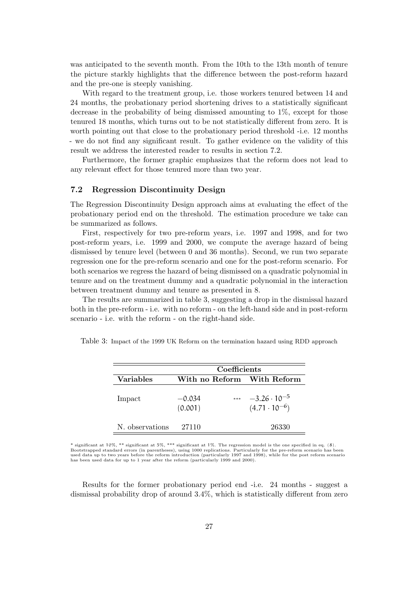was anticipated to the seventh month. From the 10th to the 13th month of tenure the picture starkly highlights that the difference between the post-reform hazard and the pre-one is steeply vanishing.

With regard to the treatment group, i.e. those workers tenured between 14 and 24 months, the probationary period shortening drives to a statistically significant decrease in the probability of being dismissed amounting to 1%, except for those tenured 18 months, which turns out to be not statistically different from zero. It is worth pointing out that close to the probationary period threshold -i.e. 12 months - we do not find any significant result. To gather evidence on the validity of this result we address the interested reader to results in section 7.2.

Furthermore, the former graphic emphasizes that the reform does not lead to any relevant effect for those tenured more than two year.

#### 7.2 Regression Discontinuity Design

The Regression Discontinuity Design approach aims at evaluating the effect of the probationary period end on the threshold. The estimation procedure we take can be summarized as follows.

First, respectively for two pre-reform years, i.e. 1997 and 1998, and for two post-reform years, i.e. 1999 and 2000, we compute the average hazard of being dismissed by tenure level (between 0 and 36 months). Second, we run two separate regression one for the pre-reform scenario and one for the post-reform scenario. For both scenarios we regress the hazard of being dismissed on a quadratic polynomial in tenure and on the treatment dummy and a quadratic polynomial in the interaction between treatment dummy and tenure as presented in 8.

The results are summarized in table 3, suggesting a drop in the dismissal hazard both in the pre-reform - i.e. with no reform - on the left-hand side and in post-reform scenario - i.e. with the reform - on the right-hand side.

|                 |                     | Coefficients |                                                 |
|-----------------|---------------------|--------------|-------------------------------------------------|
| Variables       |                     |              | With no Reform With Reform                      |
| Impact          | $-0.034$<br>(0.001) | ***          | $-3.26 \cdot 10^{-5}$<br>$(4.71 \cdot 10^{-6})$ |
| N. observations | 27110               |              | 26330                                           |

Table 3: Impact of the 1999 UK Reform on the termination hazard using RDD approach

\* significant at 10%, \*\* significant at 5%, \*\*\* significant at 1%. The regression model is the one specified in eq. (8). Bootstrapped standard errors (in parentheses), using 1000 replications. Particularly for the pre-reform scenario has been used data up to two years before the reform introduction (particularly 1997 and 1998), while for the post reform scenario has been used data for up to 1 year after the reform (particularly 1999 and 2000).

Results for the former probationary period end -i.e. 24 months - suggest a dismissal probability drop of around 3.4%, which is statistically different from zero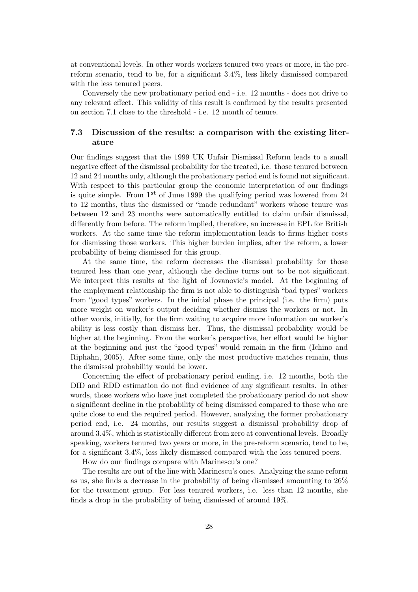at conventional levels. In other words workers tenured two years or more, in the prereform scenario, tend to be, for a significant 3.4%, less likely dismissed compared with the less tenured peers.

Conversely the new probationary period end - i.e. 12 months - does not drive to any relevant effect. This validity of this result is confirmed by the results presented on section 7.1 close to the threshold - i.e. 12 month of tenure.

### 7.3 Discussion of the results: a comparison with the existing literature

Our findings suggest that the 1999 UK Unfair Dismissal Reform leads to a small negative effect of the dismissal probability for the treated, i.e. those tenured between 12 and 24 months only, although the probationary period end is found not significant. With respect to this particular group the economic interpretation of our findings is quite simple. From  $1<sup>st</sup>$  of June 1999 the qualifying period was lowered from 24 to 12 months, thus the dismissed or "made redundant" workers whose tenure was between 12 and 23 months were automatically entitled to claim unfair dismissal, differently from before. The reform implied, therefore, an increase in EPL for British workers. At the same time the reform implementation leads to firms higher costs for dismissing those workers. This higher burden implies, after the reform, a lower probability of being dismissed for this group.

At the same time, the reform decreases the dismissal probability for those tenured less than one year, although the decline turns out to be not significant. We interpret this results at the light of Jovanovic's model. At the beginning of the employment relationship the firm is not able to distinguish "bad types" workers from "good types" workers. In the initial phase the principal (i.e. the firm) puts more weight on worker's output deciding whether dismiss the workers or not. In other words, initially, for the firm waiting to acquire more information on worker's ability is less costly than dismiss her. Thus, the dismissal probability would be higher at the beginning. From the worker's perspective, her effort would be higher at the beginning and just the "good types" would remain in the firm (Ichino and Riphahn, 2005). After some time, only the most productive matches remain, thus the dismissal probability would be lower.

Concerning the effect of probationary period ending, i.e. 12 months, both the DID and RDD estimation do not find evidence of any significant results. In other words, those workers who have just completed the probationary period do not show a significant decline in the probability of being dismissed compared to those who are quite close to end the required period. However, analyzing the former probationary period end, i.e. 24 months, our results suggest a dismissal probability drop of around 3.4%, which is statistically different from zero at conventional levels. Broadly speaking, workers tenured two years or more, in the pre-reform scenario, tend to be, for a significant 3.4%, less likely dismissed compared with the less tenured peers.

How do our findings compare with Marinescu's one?

The results are out of the line with Marinescu's ones. Analyzing the same reform as us, she finds a decrease in the probability of being dismissed amounting to 26% for the treatment group. For less tenured workers, i.e. less than 12 months, she finds a drop in the probability of being dismissed of around 19%.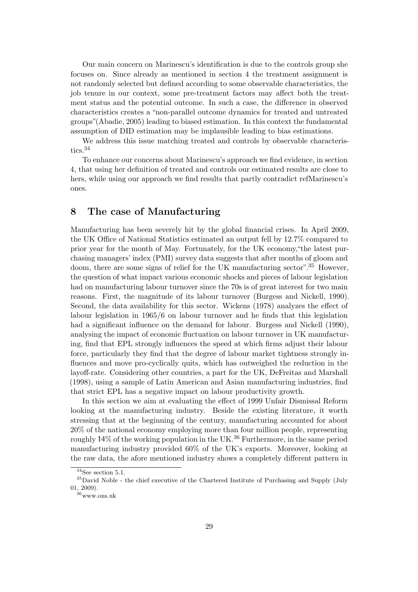Our main concern on Marinescu's identification is due to the controls group she focuses on. Since already as mentioned in section 4 the treatment assignment is not randomly selected but defined according to some observable characteristics, the job tenure in our context, some pre-treatment factors may affect both the treatment status and the potential outcome. In such a case, the difference in observed characteristics creates a "non-parallel outcome dynamics for treated and untreated groups"(Abadie, 2005) leading to biased estimation. In this context the fundamental assumption of DID estimation may be implausible leading to bias estimations.

We address this issue matching treated and controls by observable characteristics.<sup>34</sup>

To enhance our concerns about Marinescu's approach we find evidence, in section 4, that using her definition of treated and controls our estimated results are close to hers, while using our approach we find results that partly contradict refMarinescu's ones.

## 8 The case of Manufacturing

Manufacturing has been severely hit by the global financial crises. In April 2009, the UK Office of National Statistics estimated an output fell by 12.7% compared to prior year for the month of May. Fortunately, for the UK economy,"the latest purchasing managers' index (PMI) survey data suggests that after months of gloom and doom, there are some signs of relief for the UK manufacturing sector".<sup>35</sup> However, the question of what impact various economic shocks and pieces of labour legislation had on manufacturing labour turnover since the 70s is of great interest for two main reasons. First, the magnitude of its labour turnover (Burgess and Nickell, 1990). Second, the data availability for this sector. Wickens (1978) analyzes the effect of labour legislation in 1965/6 on labour turnover and he finds that this legislation had a significant influence on the demand for labour. Burgess and Nickell (1990), analysing the impact of economic fluctuation on labour turnover in UK manufacturing, find that EPL strongly influences the speed at which firms adjust their labour force, particularly they find that the degree of labour market tightness strongly influences and move pro-cyclically quits, which has outweighed the reduction in the layoff-rate. Considering other countries, a part for the UK, DeFreitas and Marshall (1998), using a sample of Latin American and Asian manufacturing industries, find that strict EPL has a negative impact on labour productivity growth.

In this section we aim at evaluating the effect of 1999 Unfair Dismissal Reform looking at the manufacturing industry. Beside the existing literature, it worth stressing that at the beginning of the century, manufacturing accounted for about 20% of the national economy employing more than four million people, representing roughly  $14\%$  of the working population in the UK.<sup>36</sup> Furthermore, in the same period manufacturing industry provided 60% of the UK's exports. Moreover, looking at the raw data, the afore mentioned industry shows a completely different pattern in

 $34$ See section 5.1.

<sup>35</sup>David Noble - the chief executive of the Chartered Institute of Purchasing and Supply (July 01, 2009).

<sup>36</sup>www.ons.uk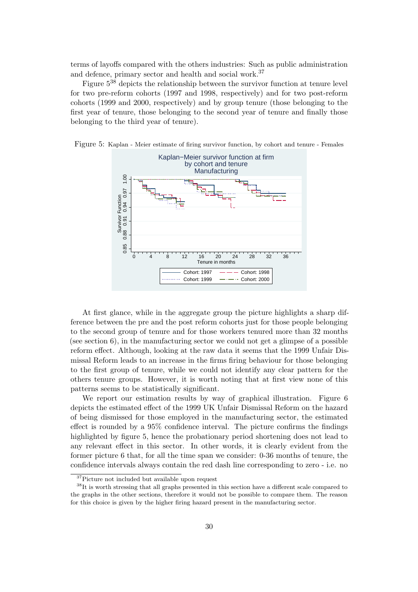terms of layoffs compared with the others industries: Such as public administration and defence, primary sector and health and social work.<sup>37</sup>

Figure  $5^{38}$  depicts the relationship between the survivor function at tenure level for two pre-reform cohorts (1997 and 1998, respectively) and for two post-reform cohorts (1999 and 2000, respectively) and by group tenure (those belonging to the first year of tenure, those belonging to the second year of tenure and finally those belonging to the third year of tenure).



Figure 5: Kaplan - Meier estimate of firing survivor function, by cohort and tenure - Females

At first glance, while in the aggregate group the picture highlights a sharp difference between the pre and the post reform cohorts just for those people belonging to the second group of tenure and for those workers tenured more than 32 months (see section  $6$ ), in the manufacturing sector we could not get a glimpse of a possible reform effect. Although, looking at the raw data it seems that the 1999 Unfair Dismissal Reform leads to an increase in the firms firing behaviour for those belonging to the first group of tenure, while we could not identify any clear pattern for the others tenure groups. However, it is worth noting that at first view none of this patterns seems to be statistically significant.

We report our estimation results by way of graphical illustration. Figure 6 depicts the estimated effect of the 1999 UK Unfair Dismissal Reform on the hazard of being dismissed for those employed in the manufacturing sector, the estimated effect is rounded by a 95% confidence interval. The picture confirms the findings highlighted by figure 5, hence the probationary period shortening does not lead to any relevant effect in this sector. In other words, it is clearly evident from the former picture 6 that, for all the time span we consider: 0-36 months of tenure, the confidence intervals always contain the red dash line corresponding to zero - i.e. no

<sup>37</sup>Picture not included but available upon request

<sup>&</sup>lt;sup>38</sup>It is worth stressing that all graphs presented in this section have a different scale compared to the graphs in the other sections, therefore it would not be possible to compare them. The reason for this choice is given by the higher firing hazard present in the manufacturing sector.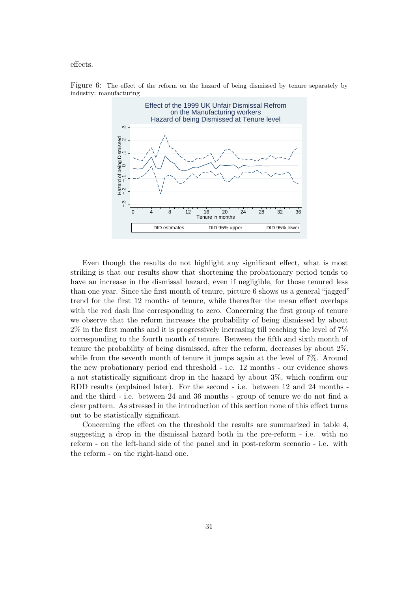effects.



Figure 6: The effect of the reform on the hazard of being dismissed by tenure separately by industry: manufacturing

Even though the results do not highlight any significant effect, what is most striking is that our results show that shortening the probationary period tends to have an increase in the dismissal hazard, even if negligible, for those tenured less than one year. Since the first month of tenure, picture 6 shows us a general "jagged" trend for the first 12 months of tenure, while thereafter the mean effect overlaps with the red dash line corresponding to zero. Concerning the first group of tenure we observe that the reform increases the probability of being dismissed by about 2% in the first months and it is progressively increasing till reaching the level of 7% corresponding to the fourth month of tenure. Between the fifth and sixth month of tenure the probability of being dismissed, after the reform, decreases by about 2%, while from the seventh month of tenure it jumps again at the level of  $7\%$ . Around the new probationary period end threshold - i.e. 12 months - our evidence shows a not statistically significant drop in the hazard by about 3%, which confirm our RDD results (explained later). For the second - i.e. between 12 and 24 months and the third - i.e. between 24 and 36 months - group of tenure we do not find a clear pattern. As stressed in the introduction of this section none of this effect turns out to be statistically significant.

Concerning the effect on the threshold the results are summarized in table 4, suggesting a drop in the dismissal hazard both in the pre-reform - i.e. with no reform - on the left-hand side of the panel and in post-reform scenario - i.e. with the reform - on the right-hand one.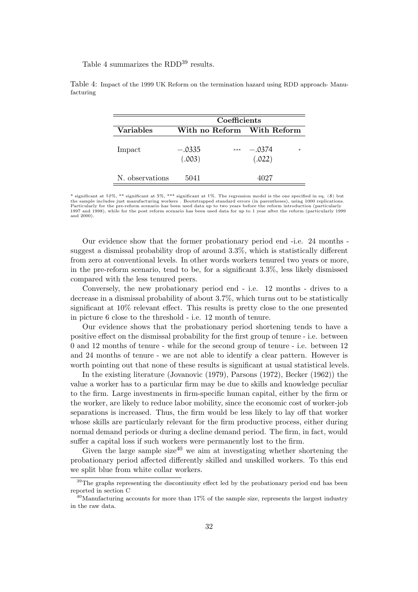Table 4 summarizes the RDD<sup>39</sup> results.

|                  | Coefficients       |       |                            |     |  |
|------------------|--------------------|-------|----------------------------|-----|--|
| <b>Variables</b> |                    |       | With no Reform With Reform |     |  |
| Impact           | $-.0335$<br>(.003) | $***$ | $-.0374$<br>(.022)         | $*$ |  |
| N. observations  | 5041               |       | 4027                       |     |  |

Table 4: Impact of the 1999 UK Reform on the termination hazard using RDD approach- Manufacturing

\* significant at 10%, \*\* significant at 5%, \*\*\* significant at 1%. The regression model is the one specified in eq. (8) but<br>the sample includes just manufacturing workers . Bootstrapped standard errors (in parentheses), us Particularly for the pre-reform scenario has been used data up to two years before the reform introduction (particularly<br>1997 and 1998), while for the post reform scenario has been used data for up to 1 year after the refo and 2000).

Our evidence show that the former probationary period end -i.e. 24 months suggest a dismissal probability drop of around 3.3%, which is statistically different from zero at conventional levels. In other words workers tenured two years or more, in the pre-reform scenario, tend to be, for a significant 3.3%, less likely dismissed compared with the less tenured peers.

Conversely, the new probationary period end - i.e. 12 months - drives to a decrease in a dismissal probability of about 3.7%, which turns out to be statistically significant at 10% relevant effect. This results is pretty close to the one presented in picture 6 close to the threshold - i.e. 12 month of tenure.

Our evidence shows that the probationary period shortening tends to have a positive effect on the dismissal probability for the first group of tenure - i.e. between 0 and 12 months of tenure - while for the second group of tenure - i.e. between 12 and 24 months of tenure - we are not able to identify a clear pattern. However is worth pointing out that none of these results is significant at usual statistical levels.

In the existing literature (Jovanovic (1979), Parsons (1972), Becker (1962)) the value a worker has to a particular firm may be due to skills and knowledge peculiar to the firm. Large investments in firm-specific human capital, either by the firm or the worker, are likely to reduce labor mobility, since the economic cost of worker-job separations is increased. Thus, the firm would be less likely to lay off that worker whose skills are particularly relevant for the firm productive process, either during normal demand periods or during a decline demand period. The firm, in fact, would suffer a capital loss if such workers were permanently lost to the firm.

Given the large sample size<sup>40</sup> we aim at investigating whether shortening the probationary period affected differently skilled and unskilled workers. To this end we split blue from white collar workers.

<sup>&</sup>lt;sup>39</sup>The graphs representing the discontinuity effect led by the probationary period end has been reported in section C

 $^{40}$ Manufacturing accounts for more than 17% of the sample size, represents the largest industry in the raw data.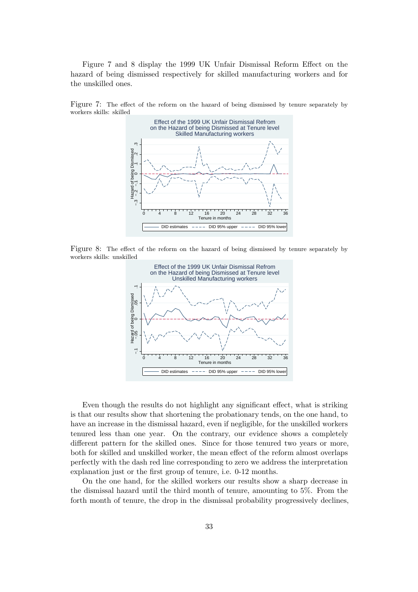Figure 7 and 8 display the 1999 UK Unfair Dismissal Reform Effect on the hazard of being dismissed respectively for skilled manufacturing workers and for the unskilled ones.



Figure 7: The effect of the reform on the hazard of being dismissed by tenure separately by workers skills: skilled

Figure 8: The effect of the reform on the hazard of being dismissed by tenure separately by workers skills: unskilled



Even though the results do not highlight any significant effect, what is striking is that our results show that shortening the probationary tends, on the one hand, to have an increase in the dismissal hazard, even if negligible, for the unskilled workers tenured less than one year. On the contrary, our evidence shows a completely different pattern for the skilled ones. Since for those tenured two years or more, both for skilled and unskilled worker, the mean effect of the reform almost overlaps perfectly with the dash red line corresponding to zero we address the interpretation explanation just or the first group of tenure, i.e. 0-12 months.

On the one hand, for the skilled workers our results show a sharp decrease in the dismissal hazard until the third month of tenure, amounting to 5%. From the forth month of tenure, the drop in the dismissal probability progressively declines,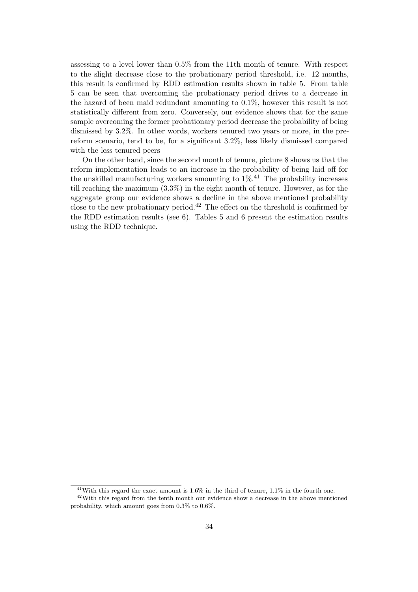assessing to a level lower than 0.5% from the 11th month of tenure. With respect to the slight decrease close to the probationary period threshold, i.e. 12 months, this result is confirmed by RDD estimation results shown in table 5. From table 5 can be seen that overcoming the probationary period drives to a decrease in the hazard of been maid redundant amounting to 0.1%, however this result is not statistically different from zero. Conversely, our evidence shows that for the same sample overcoming the former probationary period decrease the probability of being dismissed by 3.2%. In other words, workers tenured two years or more, in the prereform scenario, tend to be, for a significant 3.2%, less likely dismissed compared with the less tenured peers

On the other hand, since the second month of tenure, picture 8 shows us that the reform implementation leads to an increase in the probability of being laid off for the unskilled manufacturing workers amounting to  $1\%$ .<sup>41</sup> The probability increases till reaching the maximum (3.3%) in the eight month of tenure. However, as for the aggregate group our evidence shows a decline in the above mentioned probability close to the new probationary period.<sup>42</sup> The effect on the threshold is confirmed by the RDD estimation results (see 6). Tables 5 and 6 present the estimation results using the RDD technique.

<sup>41</sup>With this regard the exact amount is 1.6% in the third of tenure, 1.1% in the fourth one.

<sup>42</sup>With this regard from the tenth month our evidence show a decrease in the above mentioned probability, which amount goes from 0.3% to 0.6%.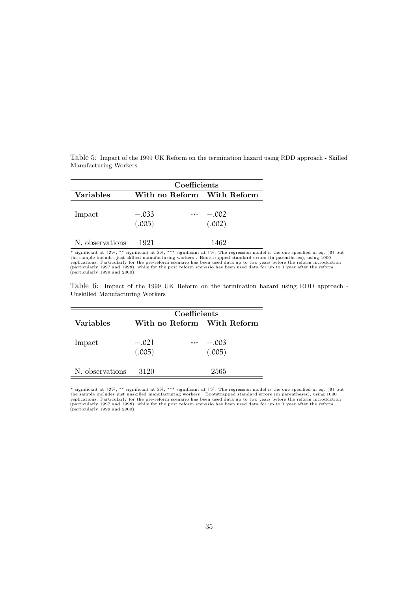|                       |  |  | Table 5: Impact of the 1999 UK Reform on the termination hazard using RDD approach - Skilled |  |  |  |  |
|-----------------------|--|--|----------------------------------------------------------------------------------------------|--|--|--|--|
| Manufacturing Workers |  |  |                                                                                              |  |  |  |  |

|                  | Coefficients               |       |                   |  |  |
|------------------|----------------------------|-------|-------------------|--|--|
| <b>Variables</b> | With no Reform With Reform |       |                   |  |  |
| Impact           | $-.033$<br>(.005)          | $***$ | $-.002$<br>(.002) |  |  |
| N. observations  | 1921                       |       | 1462              |  |  |

\* significant at  $10\%$ , \*\* significant at 5%, \*\*\* significant at 1%. The regression model is the one specified in eq. (8) but<br>the sample includes just skilled manufacturing workers. Bootstrapped standard errors (in paren

Table 6: Impact of the 1999 UK Reform on the termination hazard using RDD approach - Unskilled Manufacturing Workers

|                  | Coefficients      |                            |                   |  |  |
|------------------|-------------------|----------------------------|-------------------|--|--|
| <b>Variables</b> |                   | With no Reform With Reform |                   |  |  |
| Impact           | $-.021$<br>(.005) | $***$                      | $-.003$<br>(.005) |  |  |
| N. observations  | 3120              |                            | 2565              |  |  |

\* significant at 10%, \*\* significant at 5%, \*\*\* significant at 1%. The regression model is the one specified in eq. (8) but<br>the sample includes just unskilled manufacturing workers . Bootstrapped standard errors (in paren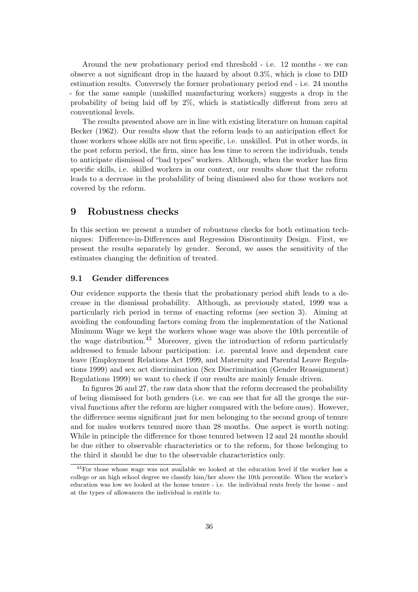Around the new probationary period end threshold - i.e. 12 months - we can observe a not significant drop in the hazard by about 0.3%, which is close to DID estimation results. Conversely the former probationary period end - i.e. 24 months - for the same sample (unskilled manufacturing workers) suggests a drop in the probability of being laid off by 2%, which is statistically different from zero at conventional levels.

The results presented above are in line with existing literature on human capital Becker (1962). Our results show that the reform leads to an anticipation effect for those workers whose skills are not firm specific, i.e. unskilled. Put in other words, in the post reform period, the firm, since has less time to screen the individuals, tends to anticipate dismissal of "bad types" workers. Although, when the worker has firm specific skills, i.e. skilled workers in our context, our results show that the reform leads to a decrease in the probability of being dismissed also for those workers not covered by the reform.

### 9 Robustness checks

In this section we present a number of robustness checks for both estimation techniques: Difference-in-Differences and Regression Discontinuity Design. First, we present the results separately by gender. Second, we asses the sensitivity of the estimates changing the definition of treated.

#### 9.1 Gender differences

Our evidence supports the thesis that the probationary period shift leads to a decrease in the dismissal probability. Although, as previously stated, 1999 was a particularly rich period in terms of enacting reforms (see section 3). Aiming at avoiding the confounding factors coming from the implementation of the National Minimum Wage we kept the workers whose wage was above the 10th percentile of the wage distribution.<sup>43</sup> Moreover, given the introduction of reform particularly addressed to female labour participation: i.e. parental leave and dependent care leave (Employment Relations Act 1999, and Maternity and Parental Leave Regulations 1999) and sex act discrimination (Sex Discrimination (Gender Reassignment) Regulations 1999) we want to check if our results are mainly female driven.

In figures 26 and 27, the raw data show that the reform decreased the probability of being dismissed for both genders (i.e. we can see that for all the groups the survival functions after the reform are higher compared with the before ones). However, the difference seems significant just for men belonging to the second group of tenure and for males workers tenured more than 28 months. One aspect is worth noting: While in principle the difference for those tenured between 12 and 24 months should be due either to observable characteristics or to the reform, for those belonging to the third it should be due to the observable characteristics only.

<sup>&</sup>lt;sup>43</sup>For those whose wage was not available we looked at the education level if the worker has a college or an high school degree we classify him/her above the 10th percentile. When the worker's education was low we looked at the house tenure - i.e. the individual rents freely the house - and at the types of allowances the individual is entitle to.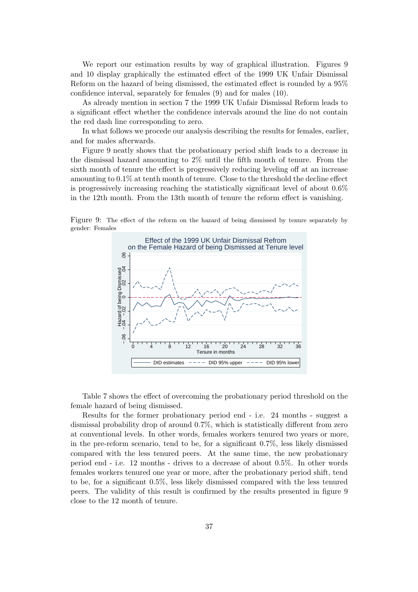We report our estimation results by way of graphical illustration. Figures 9 and 10 display graphically the estimated effect of the 1999 UK Unfair Dismissal Reform on the hazard of being dismissed, the estimated effect is rounded by a 95% confidence interval, separately for females (9) and for males (10).

As already mention in section 7 the 1999 UK Unfair Dismissal Reform leads to a significant effect whether the confidence intervals around the line do not contain the red dash line corresponding to zero.

In what follows we procede our analysis describing the results for females, earlier, and for males afterwards.

Figure 9 neatly shows that the probationary period shift leads to a decrease in the dismissal hazard amounting to 2% until the fifth month of tenure. From the sixth month of tenure the effect is progressively reducing leveling off at an increase amounting to 0.1% at tenth month of tenure. Close to the threshold the decline effect is progressively increasing reaching the statistically significant level of about 0.6% in the 12th month. From the 13th month of tenure the reform effect is vanishing.

Figure 9: The effect of the reform on the hazard of being dismissed by tenure separately by gender: Females



Table 7 shows the effect of overcoming the probationary period threshold on the female hazard of being dismissed.

Results for the former probationary period end - i.e. 24 months - suggest a dismissal probability drop of around 0.7%, which is statistically different from zero at conventional levels. In other words, females workers tenured two years or more, in the pre-reform scenario, tend to be, for a significant 0.7%, less likely dismissed compared with the less tenured peers. At the same time, the new probationary period end - i.e. 12 months - drives to a decrease of about 0.5%. In other words females workers tenured one year or more, after the probationary period shift, tend to be, for a significant 0.5%, less likely dismissed compared with the less tenured peers. The validity of this result is confirmed by the results presented in figure 9 close to the 12 month of tenure.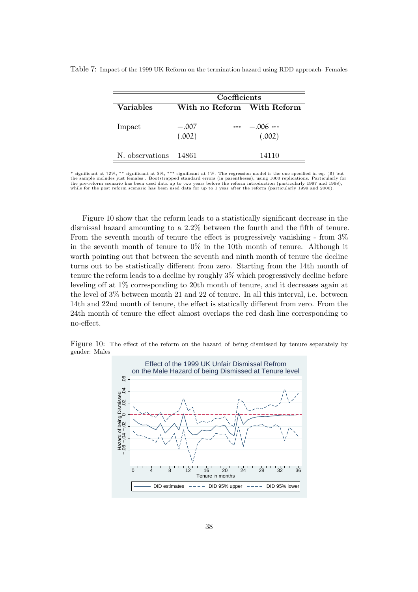|                  | Coefficients               |                       |  |  |  |
|------------------|----------------------------|-----------------------|--|--|--|
| <b>Variables</b> | With no Reform With Reform |                       |  |  |  |
| Impact           | $-.007$<br>$***$<br>(.002) | $-.006$ ***<br>(.002) |  |  |  |
| N. observations  | 14861                      | 14110                 |  |  |  |

Table 7: Impact of the 1999 UK Reform on the termination hazard using RDD approach- Females

significant at 10%, \*\* significant at 5%, \*\*\* significant at 1%. The regression model is the one specified in eq. (8) but the sample includes just females . Bootstrapped standard errors (in parentheses), using 1000 replications. Particularly for<br>the pre-reform scenario has been used data up to two years before the reform introduction (particu while for the post reform scenario has been used data for up to 1 year after the reform (particularly 1999 and 2000).

Figure 10 show that the reform leads to a statistically significant decrease in the dismissal hazard amounting to a 2.2% between the fourth and the fifth of tenure. From the seventh month of tenure the effect is progressively vanishing - from 3% in the seventh month of tenure to 0% in the 10th month of tenure. Although it worth pointing out that between the seventh and ninth month of tenure the decline turns out to be statistically different from zero. Starting from the 14th month of tenure the reform leads to a decline by roughly 3% which progressively decline before leveling off at 1% corresponding to 20th month of tenure, and it decreases again at the level of 3% between month 21 and 22 of tenure. In all this interval, i.e. between 14th and 22nd month of tenure, the effect is statically different from zero. From the 24th month of tenure the effect almost overlaps the red dash line corresponding to no-effect.

Figure 10: The effect of the reform on the hazard of being dismissed by tenure separately by gender: Males

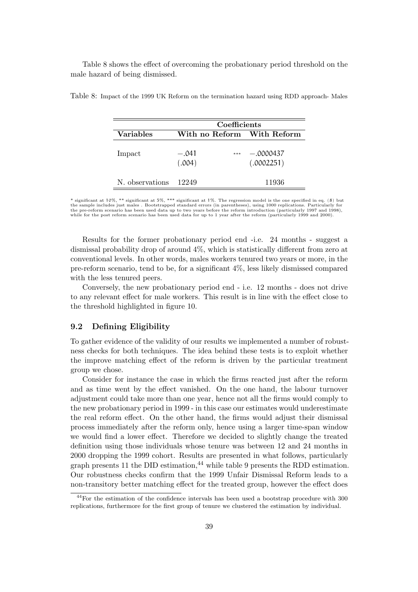Table 8 shows the effect of overcoming the probationary period threshold on the male hazard of being dismissed.

|                  | Coefficients               |                           |  |  |  |
|------------------|----------------------------|---------------------------|--|--|--|
| <b>Variables</b> | With no Reform With Reform |                           |  |  |  |
| Impact           | $-.041$<br>$***$<br>(.004) | $-.0000437$<br>(.0002251) |  |  |  |
| N. observations  | 12249                      | 11936                     |  |  |  |

Table 8: Impact of the 1999 UK Reform on the termination hazard using RDD approach- Males

\* significant at 10%, \*\* significant at 5%, \*\*\* significant at 1%. The regression model is the one specified in eq. (8) but<br>the sample includes just males . Bootstrapped standard errors (in parentheses), using 1000 replica the pre-reform scenario has been used data up to two years before the reform introduction (particularly 1997 and 1998),<br>while for the post reform scenario has been used data for up to 1 year after the reform (particularly

Results for the former probationary period end -i.e. 24 months - suggest a dismissal probability drop of around 4%, which is statistically different from zero at conventional levels. In other words, males workers tenured two years or more, in the pre-reform scenario, tend to be, for a significant 4%, less likely dismissed compared with the less tenured peers.

Conversely, the new probationary period end - i.e. 12 months - does not drive to any relevant effect for male workers. This result is in line with the effect close to the threshold highlighted in figure 10.

#### 9.2 Defining Eligibility

To gather evidence of the validity of our results we implemented a number of robustness checks for both techniques. The idea behind these tests is to exploit whether the improve matching effect of the reform is driven by the particular treatment group we chose.

Consider for instance the case in which the firms reacted just after the reform and as time went by the effect vanished. On the one hand, the labour turnover adjustment could take more than one year, hence not all the firms would comply to the new probationary period in 1999 - in this case our estimates would underestimate the real reform effect. On the other hand, the firms would adjust their dismissal process immediately after the reform only, hence using a larger time-span window we would find a lower effect. Therefore we decided to slightly change the treated definition using those individuals whose tenure was between 12 and 24 months in 2000 dropping the 1999 cohort. Results are presented in what follows, particularly graph presents 11 the DID estimation,  $44$  while table 9 presents the RDD estimation. Our robustness checks confirm that the 1999 Unfair Dismissal Reform leads to a non-transitory better matching effect for the treated group, however the effect does

<sup>44</sup>For the estimation of the confidence intervals has been used a bootstrap procedure with 300 replications, furthermore for the first group of tenure we clustered the estimation by individual.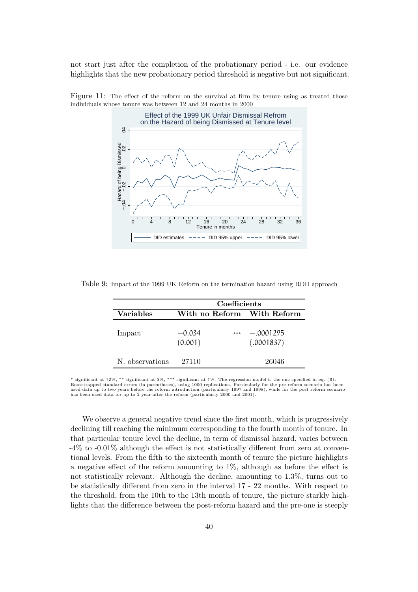not start just after the completion of the probationary period - i.e. our evidence highlights that the new probationary period threshold is negative but not significant.



Figure 11: The effect of the reform on the survival at firm by tenure using as treated those individuals whose tenure was between 12 and 24 months in 2000

Table 9: Impact of the 1999 UK Reform on the termination hazard using RDD approach

|                 | Coefficients        |       |                            |  |  |  |
|-----------------|---------------------|-------|----------------------------|--|--|--|
| Variables       |                     |       | With no Reform With Reform |  |  |  |
| Impact          | $-0.034$<br>(0.001) | $***$ | $-.0001295$<br>(.0001837)  |  |  |  |
| N. observations | 27110               |       | 26046                      |  |  |  |

\* significant at 10%, \*\* significant at 5%, \*\*\* significant at 1%. The regression model is the one specified in eq. (8).<br>Bootstrapped standard errors (in parentheses), using 1000 replications. Particularly for the pre-refo used data up to two years before the reform introduction (particularly 1997 and 1998), while for the post reform scenario has been used data for up to 2 year after the reform (particularly 2000 and 2001).

We observe a general negative trend since the first month, which is progressively declining till reaching the minimum corresponding to the fourth month of tenure. In that particular tenure level the decline, in term of dismissal hazard, varies between -4% to -0.01% although the effect is not statistically different from zero at conventional levels. From the fifth to the sixteenth month of tenure the picture highlights a negative effect of the reform amounting to 1%, although as before the effect is not statistically relevant. Although the decline, amounting to 1.3%, turns out to be statistically different from zero in the interval 17 - 22 months. With respect to the threshold, from the 10th to the 13th month of tenure, the picture starkly highlights that the difference between the post-reform hazard and the pre-one is steeply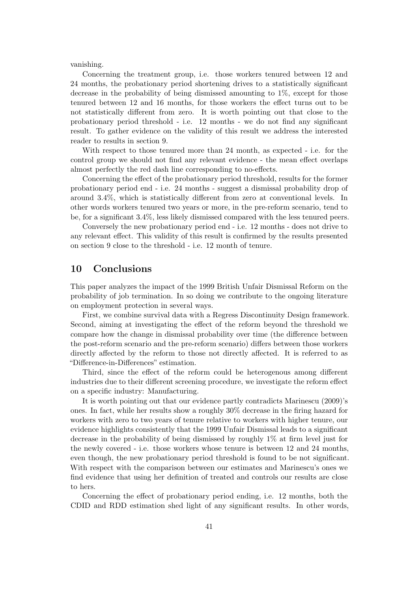vanishing.

Concerning the treatment group, i.e. those workers tenured between 12 and 24 months, the probationary period shortening drives to a statistically significant decrease in the probability of being dismissed amounting to 1%, except for those tenured between 12 and 16 months, for those workers the effect turns out to be not statistically different from zero. It is worth pointing out that close to the probationary period threshold - i.e. 12 months - we do not find any significant result. To gather evidence on the validity of this result we address the interested reader to results in section 9.

With respect to those tenured more than 24 month, as expected - i.e. for the control group we should not find any relevant evidence - the mean effect overlaps almost perfectly the red dash line corresponding to no-effects.

Concerning the effect of the probationary period threshold, results for the former probationary period end - i.e. 24 months - suggest a dismissal probability drop of around 3.4%, which is statistically different from zero at conventional levels. In other words workers tenured two years or more, in the pre-reform scenario, tend to be, for a significant 3.4%, less likely dismissed compared with the less tenured peers.

Conversely the new probationary period end - i.e. 12 months - does not drive to any relevant effect. This validity of this result is confirmed by the results presented on section 9 close to the threshold - i.e. 12 month of tenure.

## 10 Conclusions

This paper analyzes the impact of the 1999 British Unfair Dismissal Reform on the probability of job termination. In so doing we contribute to the ongoing literature on employment protection in several ways.

First, we combine survival data with a Regress Discontinuity Design framework. Second, aiming at investigating the effect of the reform beyond the threshold we compare how the change in dismissal probability over time (the difference between the post-reform scenario and the pre-reform scenario) differs between those workers directly affected by the reform to those not directly affected. It is referred to as "Difference-in-Differences" estimation.

Third, since the effect of the reform could be heterogenous among different industries due to their different screening procedure, we investigate the reform effect on a specific industry: Manufacturing.

It is worth pointing out that our evidence partly contradicts Marinescu (2009)'s ones. In fact, while her results show a roughly 30% decrease in the firing hazard for workers with zero to two years of tenure relative to workers with higher tenure, our evidence highlights consistently that the 1999 Unfair Dismissal leads to a significant decrease in the probability of being dismissed by roughly 1% at firm level just for the newly covered - i.e. those workers whose tenure is between 12 and 24 months, even though, the new probationary period threshold is found to be not significant. With respect with the comparison between our estimates and Marinescu's ones we find evidence that using her definition of treated and controls our results are close to hers.

Concerning the effect of probationary period ending, i.e. 12 months, both the CDID and RDD estimation shed light of any significant results. In other words,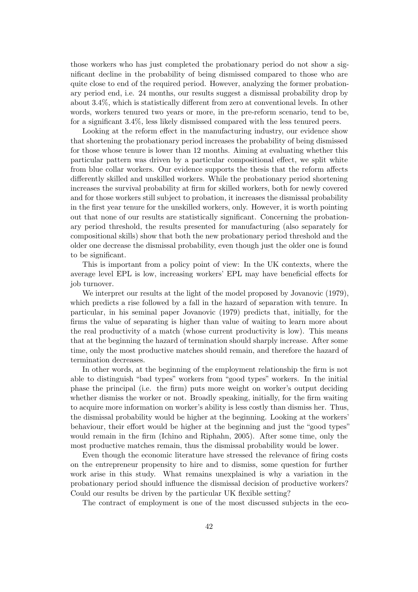those workers who has just completed the probationary period do not show a significant decline in the probability of being dismissed compared to those who are quite close to end of the required period. However, analyzing the former probationary period end, i.e. 24 months, our results suggest a dismissal probability drop by about 3.4%, which is statistically different from zero at conventional levels. In other words, workers tenured two years or more, in the pre-reform scenario, tend to be, for a significant 3.4%, less likely dismissed compared with the less tenured peers.

Looking at the reform effect in the manufacturing industry, our evidence show that shortening the probationary period increases the probability of being dismissed for those whose tenure is lower than 12 months. Aiming at evaluating whether this particular pattern was driven by a particular compositional effect, we split white from blue collar workers. Our evidence supports the thesis that the reform affects differently skilled and unskilled workers. While the probationary period shortening increases the survival probability at firm for skilled workers, both for newly covered and for those workers still subject to probation, it increases the dismissal probability in the first year tenure for the unskilled workers, only. However, it is worth pointing out that none of our results are statistically significant. Concerning the probationary period threshold, the results presented for manufacturing (also separately for compositional skills) show that both the new probationary period threshold and the older one decrease the dismissal probability, even though just the older one is found to be significant.

This is important from a policy point of view: In the UK contexts, where the average level EPL is low, increasing workers' EPL may have beneficial effects for job turnover.

We interpret our results at the light of the model proposed by Jovanovic (1979), which predicts a rise followed by a fall in the hazard of separation with tenure. In particular, in his seminal paper Jovanovic (1979) predicts that, initially, for the firms the value of separating is higher than value of waiting to learn more about the real productivity of a match (whose current productivity is low). This means that at the beginning the hazard of termination should sharply increase. After some time, only the most productive matches should remain, and therefore the hazard of termination decreases.

In other words, at the beginning of the employment relationship the firm is not able to distinguish "bad types" workers from "good types" workers. In the initial phase the principal (i.e. the firm) puts more weight on worker's output deciding whether dismiss the worker or not. Broadly speaking, initially, for the firm waiting to acquire more information on worker's ability is less costly than dismiss her. Thus, the dismissal probability would be higher at the beginning. Looking at the workers' behaviour, their effort would be higher at the beginning and just the "good types" would remain in the firm (Ichino and Riphahn, 2005). After some time, only the most productive matches remain, thus the dismissal probability would be lower.

Even though the economic literature have stressed the relevance of firing costs on the entrepreneur propensity to hire and to dismiss, some question for further work arise in this study. What remains unexplained is why a variation in the probationary period should influence the dismissal decision of productive workers? Could our results be driven by the particular UK flexible setting?

The contract of employment is one of the most discussed subjects in the eco-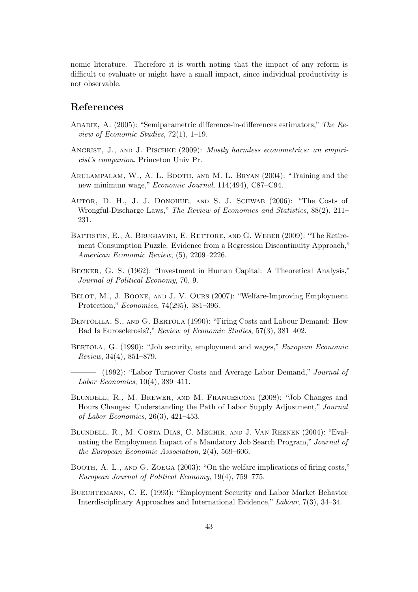nomic literature. Therefore it is worth noting that the impact of any reform is difficult to evaluate or might have a small impact, since individual productivity is not observable.

## References

- Abadie, A. (2005): "Semiparametric difference-in-differences estimators," The Review of Economic Studies, 72(1), 1–19.
- ANGRIST, J., AND J. PISCHKE (2009): Mostly harmless econometrics: an empiricist's companion. Princeton Univ Pr.
- Arulampalam, W., A. L. Booth, and M. L. Bryan (2004): "Training and the new minimum wage," Economic Journal, 114(494), C87–C94.
- Autor, D. H., J. J. Donohue, and S. J. Schwab (2006): "The Costs of Wrongful-Discharge Laws," The Review of Economics and Statistics,  $88(2)$ , 211– 231.
- BATTISTIN, E., A. BRUGIAVINI, E. RETTORE, AND G. WEBER (2009): "The Retirement Consumption Puzzle: Evidence from a Regression Discontinuity Approach," American Economic Review, (5), 2209–2226.
- Becker, G. S. (1962): "Investment in Human Capital: A Theoretical Analysis," Journal of Political Economy, 70, 9.
- BELOT, M., J. BOONE, AND J. V. OURS (2007): "Welfare-Improving Employment Protection," Economica, 74(295), 381–396.
- Bentolila, S., and G. Bertola (1990): "Firing Costs and Labour Demand: How Bad Is Eurosclerosis?," Review of Economic Studies, 57(3), 381–402.
- Bertola, G. (1990): "Job security, employment and wages," European Economic Review, 34(4), 851–879.
- $-$  (1992): "Labor Turnover Costs and Average Labor Demand," Journal of Labor Economics, 10(4), 389–411.
- Blundell, R., M. Brewer, and M. Francesconi (2008): "Job Changes and Hours Changes: Understanding the Path of Labor Supply Adjustment," Journal of Labor Economics, 26(3), 421–453.
- Blundell, R., M. Costa Dias, C. Meghir, and J. Van Reenen (2004): "Evaluating the Employment Impact of a Mandatory Job Search Program," Journal of the European Economic Association, 2(4), 569–606.
- BOOTH, A. L., AND G. ZOEGA (2003): "On the welfare implications of firing costs," European Journal of Political Economy, 19(4), 759–775.
- Buechtemann, C. E. (1993): "Employment Security and Labor Market Behavior Interdisciplinary Approaches and International Evidence," Labour, 7(3), 34–34.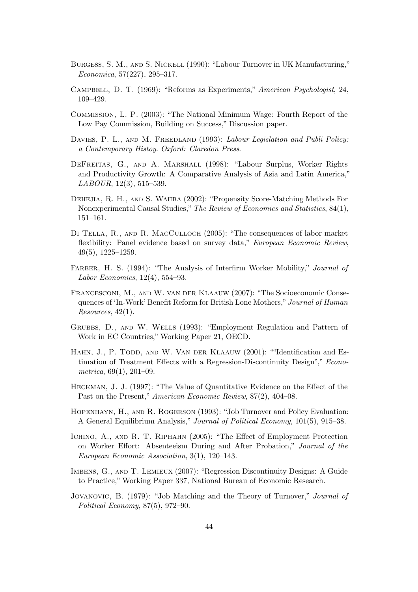- Burgess, S. M., and S. Nickell (1990): "Labour Turnover in UK Manufacturing," Economica, 57(227), 295–317.
- Campbell, D. T. (1969): "Reforms as Experiments," American Psychologist, 24, 109–429.
- Commission, L. P. (2003): "The National Minimum Wage: Fourth Report of the Low Pay Commission, Building on Success," Discussion paper.
- DAVIES, P. L., AND M. FREEDLAND (1993): Labour Legislation and Publi Policy: a Contemporary Histoy. Oxford: Claredon Press.
- DeFreitas, G., and A. Marshall (1998): "Labour Surplus, Worker Rights and Productivity Growth: A Comparative Analysis of Asia and Latin America," LABOUR, 12(3), 515–539.
- Dehejia, R. H., and S. Wahba (2002): "Propensity Score-Matching Methods For Nonexperimental Causal Studies," The Review of Economics and Statistics, 84(1), 151–161.
- Di Tella, R., and R. MacCulloch (2005): "The consequences of labor market flexibility: Panel evidence based on survey data," European Economic Review, 49(5), 1225–1259.
- FARBER, H. S. (1994): "The Analysis of Interfirm Worker Mobility," *Journal of* Labor Economics, 12(4), 554–93.
- Francesconi, M., and W. van der Klaauw (2007): "The Socioeconomic Consequences of 'In-Work' Benefit Reform for British Lone Mothers," Journal of Human Resources, 42(1).
- Grubbs, D., and W. Wells (1993): "Employment Regulation and Pattern of Work in EC Countries," Working Paper 21, OECD.
- HAHN, J., P. TODD, AND W. VAN DER KLAAUW (2001): ""Identification and Estimation of Treatment Effects with a Regression-Discontinuity Design"," Econometrica, 69(1), 201–09.
- Heckman, J. J. (1997): "The Value of Quantitative Evidence on the Effect of the Past on the Present," American Economic Review, 87(2), 404–08.
- Hopenhayn, H., and R. Rogerson (1993): "Job Turnover and Policy Evaluation: A General Equilibrium Analysis," Journal of Political Economy, 101(5), 915–38.
- Ichino, A., and R. T. Riphahn (2005): "The Effect of Employment Protection on Worker Effort: Absenteeism During and After Probation," Journal of the European Economic Association, 3(1), 120–143.
- Imbens, G., and T. Lemieux (2007): "Regression Discontinuity Designs: A Guide to Practice," Working Paper 337, National Bureau of Economic Research.
- Jovanovic, B. (1979): "Job Matching and the Theory of Turnover," Journal of Political Economy, 87(5), 972–90.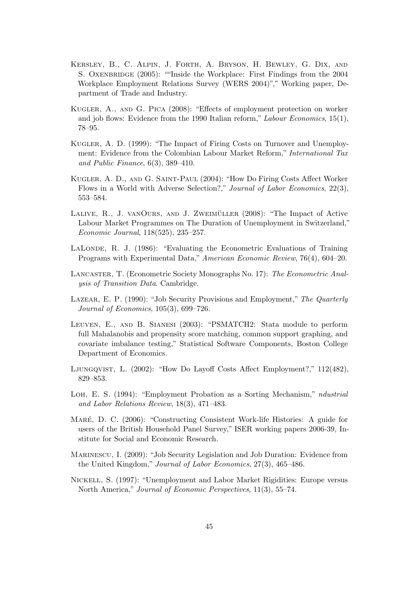- Kersley, B., C. Alpin, J. Forth, A. Bryson, H. Bewley, G. Dix, and S. OXENBRIDGE (2005): ""Inside the Workplace: First Findings from the 2004 Workplace Employment Relations Survey (WERS 2004)"," Working paper, Department of Trade and Industry.
- Kugler, A., and G. Pica (2008): "Effects of employment protection on worker and job flows: Evidence from the 1990 Italian reform," Labour Economics, 15(1), 78–95.
- Kugler, A. D. (1999): "The Impact of Firing Costs on Turnover and Unemployment: Evidence from the Colombian Labour Market Reform," International Tax and Public Finance, 6(3), 389–410.
- Kugler, A. D., and G. Saint-Paul (2004): "How Do Firing Costs Affect Worker Flows in a World with Adverse Selection?," Journal of Labor Economics, 22(3), 553–584.
- LALIVE,  $R_{\cdot}$ , J. VANOURS, AND J. ZWEIMÜLLER  $(2008)$ : "The Impact of Active Labour Market Programmes on The Duration of Unemployment in Switzerland," Economic Journal, 118(525), 235–257.
- LALONDE, R. J. (1986): "Evaluating the Econometric Evaluations of Training Programs with Experimental Data," American Economic Review, 76(4), 604–20.
- Lancaster, T. (Econometric Society Monographs No. 17): The Econometric Analysis of Transition Data. Cambridge.
- Lazear, E. P. (1990): "Job Security Provisions and Employment," The Quarterly Journal of Economics, 105(3), 699–726.
- Leuven, E., and B. Sianesi (2003): "PSMATCH2: Stata module to perform full Mahalanobis and propensity score matching, common support graphing, and covariate imbalance testing," Statistical Software Components, Boston College Department of Economics.
- Ljungqvist, L. (2002): "How Do Layoff Costs Affect Employment?," 112(482), 829–853.
- LOH, E. S. (1994): "Employment Probation as a Sorting Mechanism," *ndustrial* and Labor Relations Review, 18(3), 471–483.
- MARÉ, D. C. (2006): "Constructing Consistent Work-life Histories: A guide for users of the British Household Panel Survey," ISER working papers 2006-39, Institute for Social and Economic Research.
- Marinescu, I. (2009): "Job Security Legislation and Job Duration: Evidence from the United Kingdom," Journal of Labor Economics, 27(3), 465–486.
- Nickell, S. (1997): "Unemployment and Labor Market Rigidities: Europe versus North America," Journal of Economic Perspectives, 11(3), 55–74.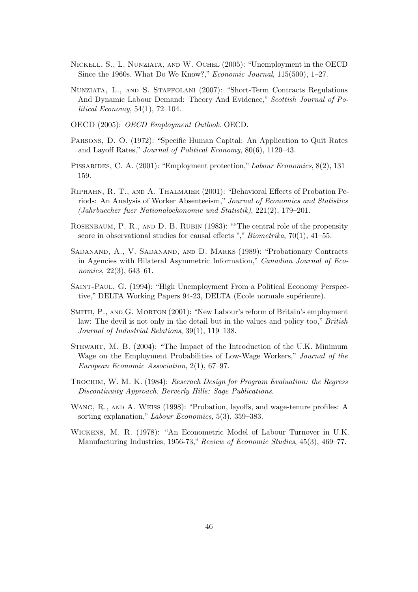- Nickell, S., L. Nunziata, and W. Ochel (2005): "Unemployment in the OECD Since the 1960s. What Do We Know?," Economic Journal, 115(500), 1–27.
- Nunziata, L., and S. Staffolani (2007): "Short-Term Contracts Regulations And Dynamic Labour Demand: Theory And Evidence," Scottish Journal of Political Economy, 54(1), 72–104.
- OECD (2005): OECD Employment Outlook. OECD.
- Parsons, D. O. (1972): "Specific Human Capital: An Application to Quit Rates and Layoff Rates," Journal of Political Economy, 80(6), 1120–43.
- PISSARIDES, C. A. (2001): "Employment protection," Labour Economics, 8(2), 131– 159.
- Riphahn, R. T., and A. Thalmaier (2001): "Behavioral Effects of Probation Periods: An Analysis of Worker Absenteeism," Journal of Economics and Statistics (Jahrbuecher fuer Nationaloekonomie und Statistik), 221(2), 179–201.
- ROSENBAUM, P. R., AND D. B. RUBIN (1983): ""The central role of the propensity score in observational studies for causal effects "," Biometrika, 70(1), 41–55.
- Sadanand, A., V. Sadanand, and D. Marks (1989): "Probationary Contracts in Agencies with Bilateral Asymmetric Information," Canadian Journal of Economics, 22(3), 643–61.
- Saint-Paul, G. (1994): "High Unemployment From a Political Economy Perspective," DELTA Working Papers 94-23, DELTA (Ecole normale supérieure).
- Smith, P., and G. Morton (2001): "New Labour's reform of Britain's employment law: The devil is not only in the detail but in the values and policy too," British Journal of Industrial Relations, 39(1), 119–138.
- Stewart, M. B. (2004): "The Impact of the Introduction of the U.K. Minimum Wage on the Employment Probabilities of Low-Wage Workers," Journal of the European Economic Association, 2(1), 67–97.
- Trochim, W. M. K. (1984): Reserach Design for Program Evaluation: the Regress Discontinuity Approach. Berverly Hills: Sage Publications.
- Wang, R., and A. Weiss (1998): "Probation, layoffs, and wage-tenure profiles: A sorting explanation," Labour Economics, 5(3), 359–383.
- Wickens, M. R. (1978): "An Econometric Model of Labour Turnover in U.K. Manufacturing Industries, 1956-73," Review of Economic Studies, 45(3), 469–77.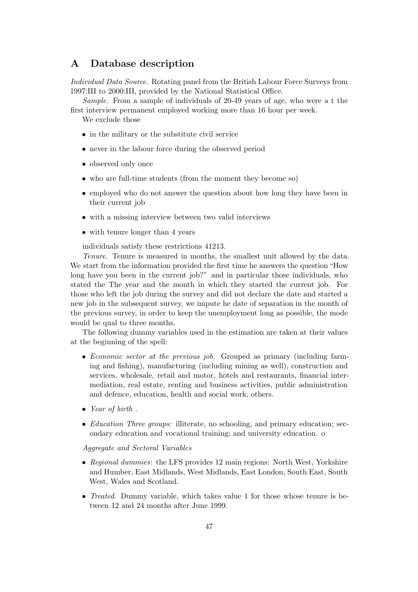## A Database description

Individual Data Source. Rotating panel from the British Labour Force Surveys from 1997:III to 2000:III, provided by the National Statistical Office.

Sample. From a sample of individuals of 20-49 years of age, who were a t the first interview permanent employed working more than 16 hour per week.

We exclude those

- in the military or the substitute civil service
- never in the labour force during the observed period
- observed only once
- who are full-time students (from the moment they become so)
- employed who do not answer the question about how long they have been in their current job
- with a missing interview between two valid interviews
- with tenure longer than 4 years

individuals satisfy these restrictions 41213.

Tenure. Tenure is measured in months, the smallest unit allowed by the data. We start from the information provided the first time he answers the question "How long have you been in the current job?" and in particular those individuals, who stated the The year and the month in which they started the current job. For those who left the job during the survey and did not declare the date and started a new job in the subsequent survey, we impute he date of separation in the month of the previous survey, in order to keep the unemployment long as possible, the mode would be qual to three months.

The following dummy variables used in the estimation are taken at their values at the beginning of the spell:

- Economic sector at the previous job. Grouped as primary (including farming and fishing), manufacturing (including mining as well), construction and services, wholesale, retail and motor, hotels and restaurants, financial intermediation, real estate, renting and business activities, public administration and defence, education, health and social work, others.
- Year of birth.
- *Education Three groups:* illiterate, no schooling, and primary education; secondary education and vocational training; and university education. o

Aggregate and Sectoral Variables

- Regional dummies: the LFS provides 12 main regions: North West, Yorkshire and Humber, East Midlands, West Midlands, East London, South East, South West, Wales and Scotland.
- Treated. Dummy variable, which takes value 1 for those whose tenure is between 12 and 24 months after June 1999.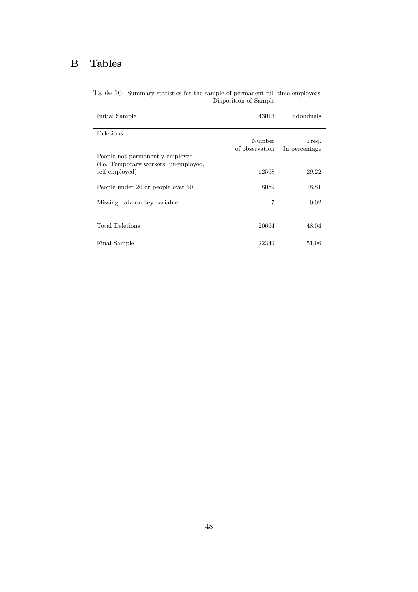## B Tables

| Initial Sample                                                                  | 43013                    | Individuals   |
|---------------------------------------------------------------------------------|--------------------------|---------------|
| Deletions:                                                                      |                          |               |
|                                                                                 | Number<br>of observation | Freq.         |
| People not permanently employed<br>( <i>i.e.</i> Temporary workers, unemployed, |                          | In percentage |
| self-employed)                                                                  | 12568                    | 29.22         |
| People under 20 or people over 50                                               | 8089                     | 18.81         |
| Missing data on key variable                                                    | 7                        | 0.02          |
| <b>Total Deletions</b>                                                          | 20664                    | 48.04         |
| Final Sample                                                                    | 22349                    | 51.96         |

Table 10: Summary statistics for the sample of permanent full-time employees. Disposition of Sample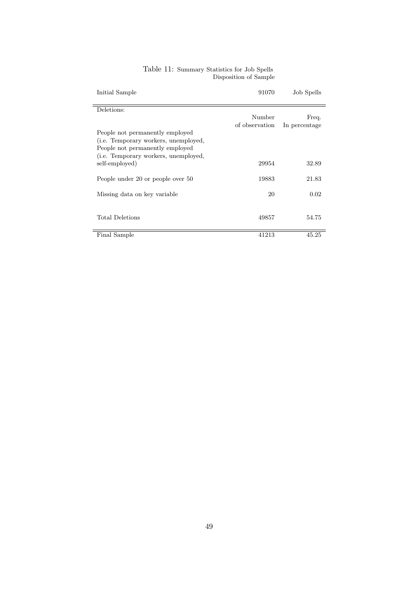| Initial Sample                               | 91070          | Job Spells    |
|----------------------------------------------|----------------|---------------|
| Deletions:                                   |                |               |
|                                              | Number         | Freq.         |
| People not permanently employed              | of observation | In percentage |
| (i.e. Temporary workers, unemployed,         |                |               |
| People not permanently employed              |                |               |
| ( <i>i.e.</i> Temporary workers, unemployed, | 29954          | 32.89         |
| self-employed)                               |                |               |
| People under 20 or people over 50            | 19883          | 21.83         |
|                                              |                |               |
| Missing data on key variable                 | 20             | 0.02          |
|                                              |                |               |
| <b>Total Deletions</b>                       | 49857          | 54.75         |
| Final Sample                                 | 41213          | 45.25         |
|                                              |                |               |

#### Table 11: Summary Statistics for Job Spells Disposition of Sample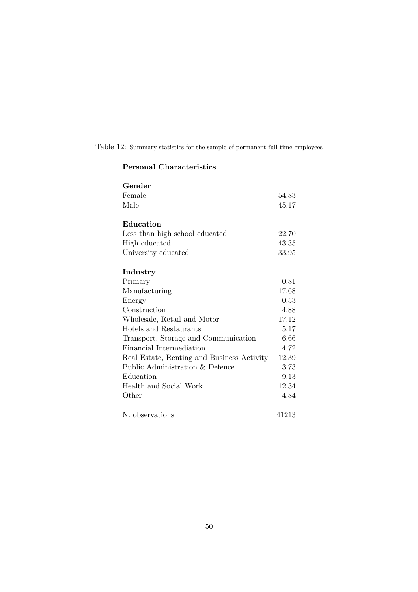| <b>Personal Characteristics</b>            |       |
|--------------------------------------------|-------|
| Gender                                     |       |
| Female                                     | 54.83 |
| Male                                       | 45.17 |
| Education                                  |       |
| Less than high school educated             | 22.70 |
| High educated                              | 43.35 |
| University educated                        | 33.95 |
| Industry                                   |       |
| Primary                                    | 0.81  |
| Manufacturing                              | 17.68 |
| Energy                                     | 0.53  |
| Construction                               | 4.88  |
| Wholesale, Retail and Motor                | 17.12 |
| Hotels and Restaurants                     | 5.17  |
| Transport, Storage and Communication       | 6.66  |
| Financial Intermediation                   | 4.72  |
| Real Estate, Renting and Business Activity | 12.39 |
| Public Administration & Defence            | 3.73  |
| Education                                  | 9.13  |
| Health and Social Work                     | 12.34 |
| Other                                      | 4.84  |
| N. observations                            | 41213 |

Table 12: Summary statistics for the sample of permanent full-time employees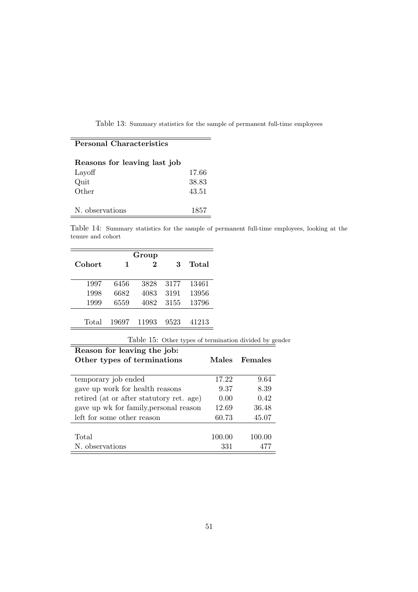Table 13: Summary statistics for the sample of permanent full-time employees

## Personal Characteristics

| Reasons for leaving last job |       |
|------------------------------|-------|
| Layoff                       | 17.66 |
| Quit                         | 38.83 |
| Other                        | 43.51 |
|                              |       |
| N. observations              | 1857  |
|                              |       |

Table 14: Summary statistics for the sample of permanent full-time employees, looking at the tenure and cohort

| Group  |       |       |      |       |
|--------|-------|-------|------|-------|
| Cohort | 1     | 2     | 3    | Total |
|        |       |       |      |       |
| 1997   | 6456  | 3828  | 3177 | 13461 |
| 1998   | 6682  | 4083  | 3191 | 13956 |
| 1999   | 6559  | 4082  | 3155 | 13796 |
|        |       |       |      |       |
| Total  | 19697 | 11993 | 9523 | 41213 |

Table 15: Other types of termination divided by gender

| Reason for leaving the job:<br>Other types of terminations | <b>Males</b> | Females |
|------------------------------------------------------------|--------------|---------|
| temporary job ended                                        | 17.22        | 9.64    |
| gave up work for health reasons                            | 9.37         | 8.39    |
| retired (at or after statutory ret. age)                   | 0.00         | 0.42    |
| gave up wk for family, personal reason                     | 12.69        | 36.48   |
| left for some other reason                                 | 60.73        | 45.07   |
|                                                            |              |         |
| Total                                                      | 100.00       | 100.00  |
| N. observations                                            | 331          | 477     |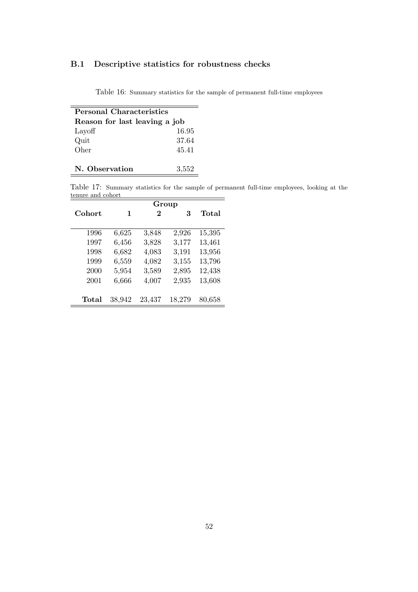## B.1 Descriptive statistics for robustness checks

Table 16: Summary statistics for the sample of permanent full-time employees

| <b>Personal Characteristics</b> |       |  |
|---------------------------------|-------|--|
| Reason for last leaving a job   |       |  |
| Layoff                          | 16.95 |  |
| Quit                            | 37.64 |  |
| Oher                            | 45.41 |  |
|                                 |       |  |
| N. Observation                  | 3.552 |  |

Table 17: Summary statistics for the sample of permanent full-time employees, looking at the tenure and cohort

|             | Group  |        |        |        |
|-------------|--------|--------|--------|--------|
| Cohort      | 1      | 2      | 3      | Total  |
|             |        |        |        |        |
| 1996        | 6,625  | 3,848  | 2,926  | 15,395 |
| 1997        | 6,456  | 3,828  | 3,177  | 13,461 |
| 1998        | 6,682  | 4,083  | 3,191  | 13,956 |
| 1999        | 6,559  | 4,082  | 3,155  | 13,796 |
| 2000        | 5,954  | 3,589  | 2,895  | 12,438 |
| 2001        | 6,666  | 4,007  | 2,935  | 13,608 |
|             |        |        |        |        |
| $\rm Total$ | 38,942 | 23,437 | 18,279 | 80,658 |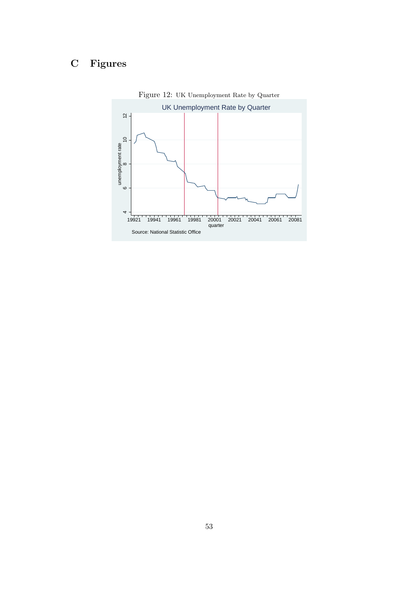## C Figures



Figure 12: UK Unemployment Rate by Quarter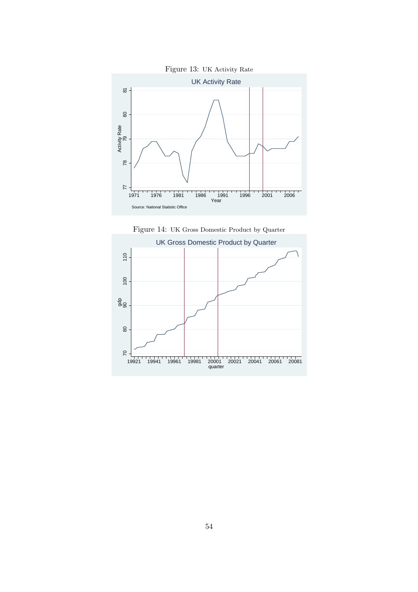



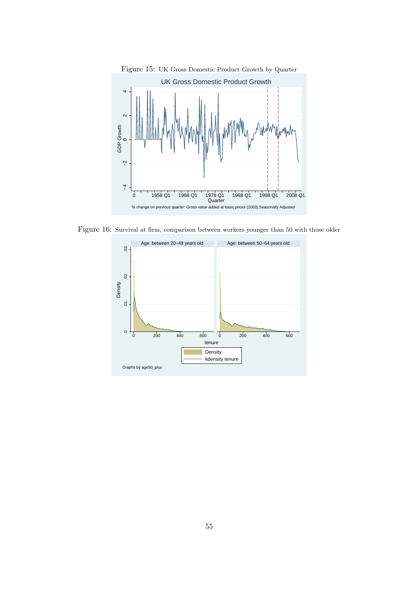

Figure 16: Survival at firm, comparison between workers younger than 50 with those older

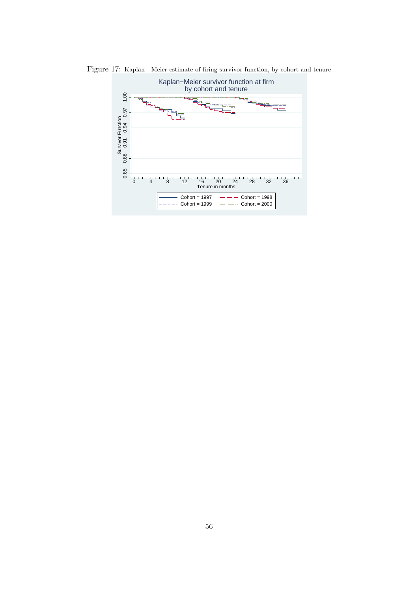

Figure 17: Kaplan - Meier estimate of firing survivor function, by cohort and tenure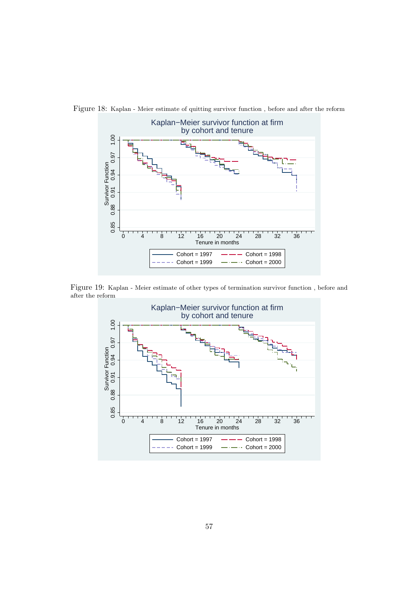

Figure 18: Kaplan - Meier estimate of quitting survivor function , before and after the reform

Figure 19: Kaplan - Meier estimate of other types of termination survivor function , before and after the reform

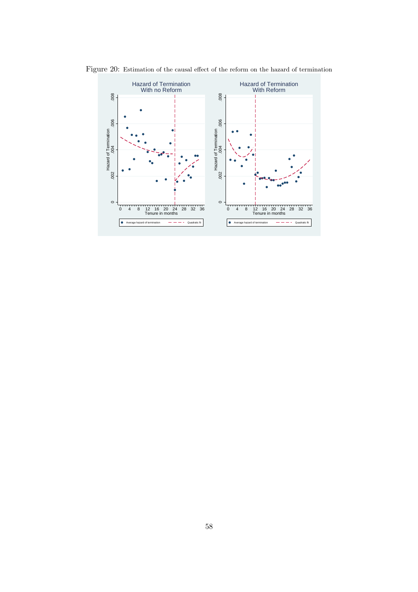

Figure 20: Estimation of the causal effect of the reform on the hazard of termination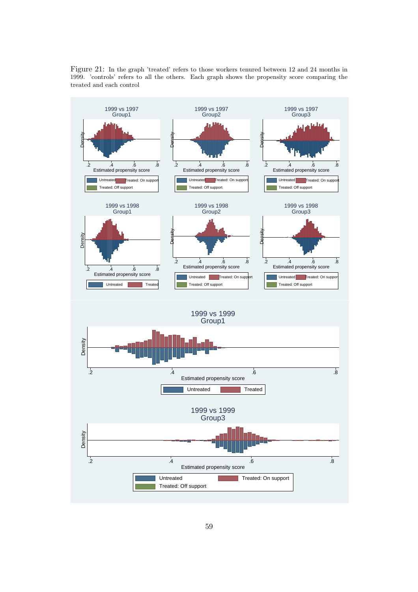

Figure 21: In the graph 'treated' refers to those workers tenured between 12 and 24 months in 1999. 'controls' refers to all the others. Each graph shows the propensity score comparing the treated and each control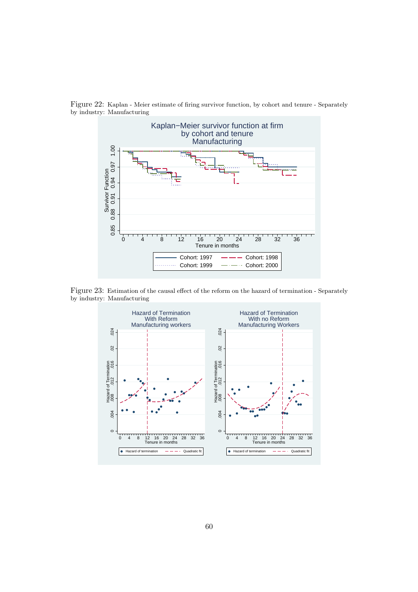

Figure 22: Kaplan - Meier estimate of firing survivor function, by cohort and tenure - Separately by industry: Manufacturing

Figure 23: Estimation of the causal effect of the reform on the hazard of termination - Separately by industry: Manufacturing

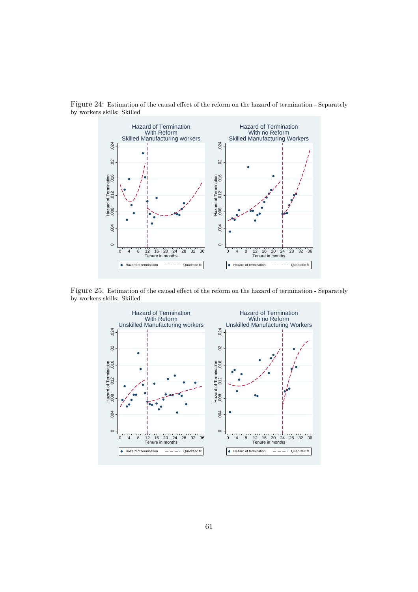

Figure 24: Estimation of the causal effect of the reform on the hazard of termination - Separately by workers skills: Skilled

Figure 25: Estimation of the causal effect of the reform on the hazard of termination - Separately by workers skills: Skilled

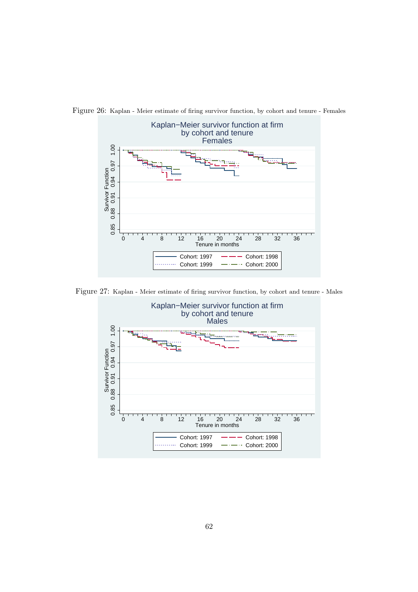

Figure 26: Kaplan - Meier estimate of firing survivor function, by cohort and tenure - Females

Figure 27: Kaplan - Meier estimate of firing survivor function, by cohort and tenure - Males